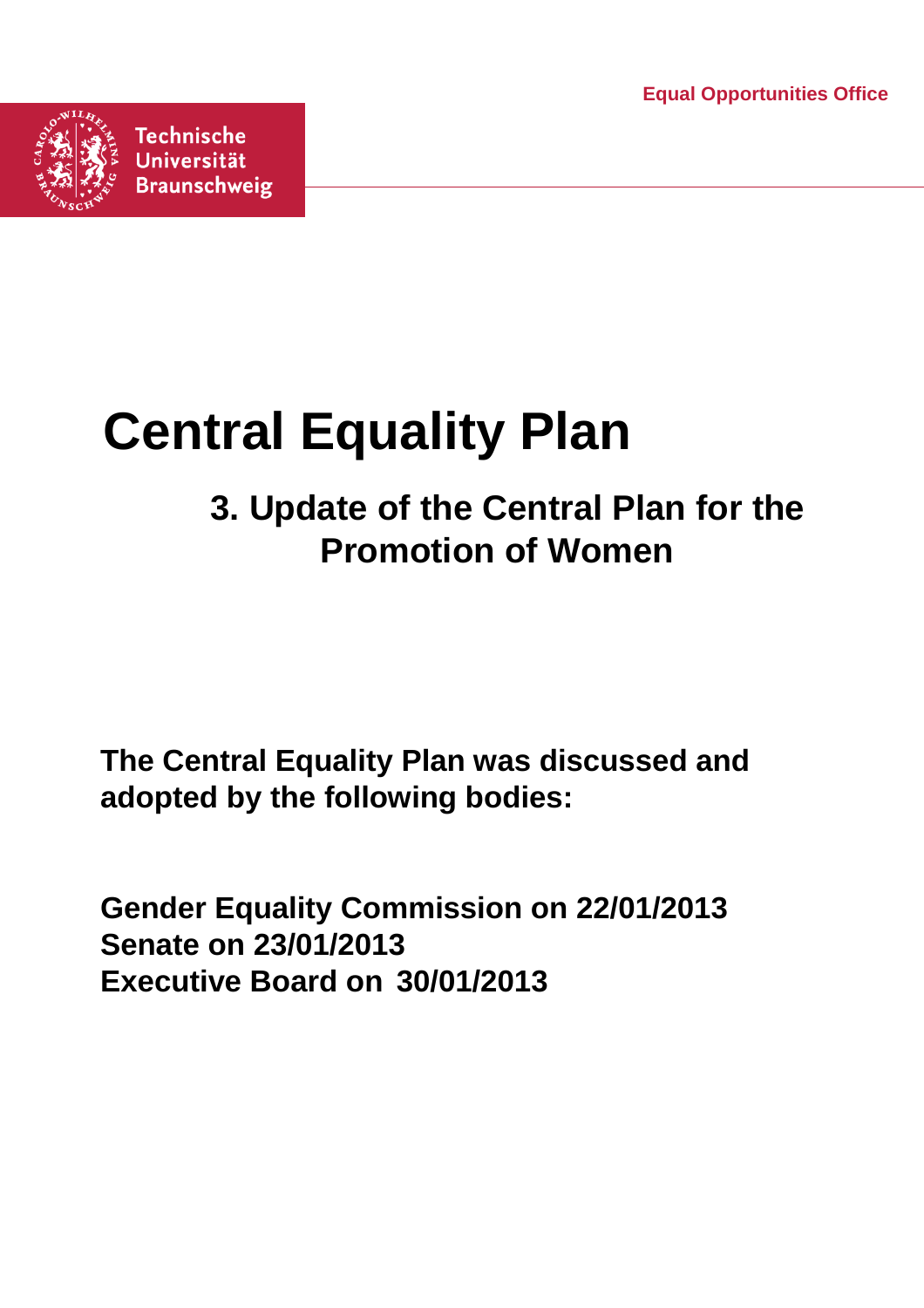**Equal Opportunities Office**



# **Central Equality Plan**

## **3. Update of the Central Plan for the Promotion of Women**

**The Central Equality Plan was discussed and adopted by the following bodies:**

**Gender Equality Commission on 22/01/2013 Senate on 23/01/2013 Executive Board on 30/01/2013**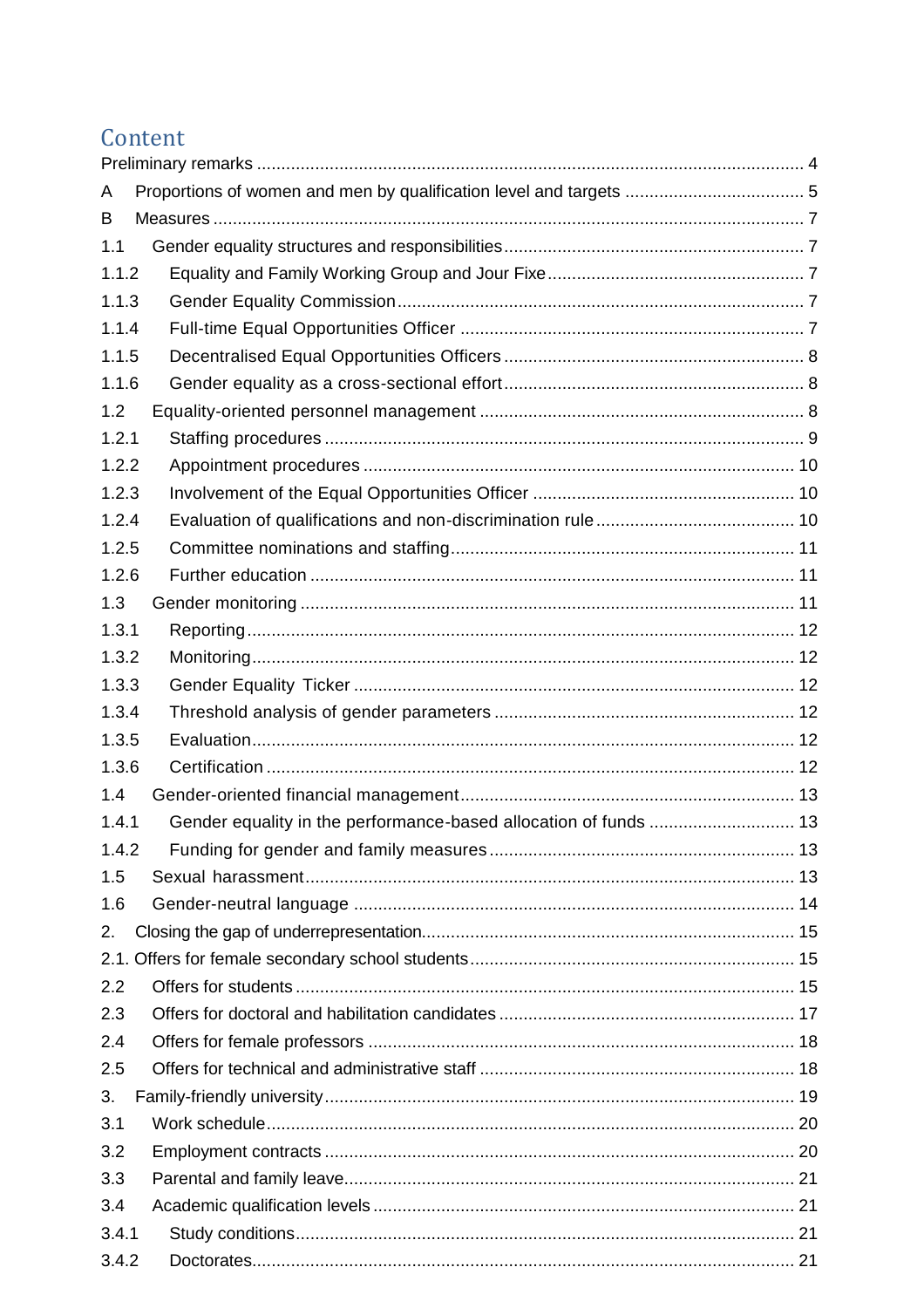### Content

| A     |                                                                  |  |
|-------|------------------------------------------------------------------|--|
| B     |                                                                  |  |
| 1.1   |                                                                  |  |
| 1.1.2 |                                                                  |  |
| 1.1.3 |                                                                  |  |
| 1.1.4 |                                                                  |  |
| 1.1.5 |                                                                  |  |
| 1.1.6 |                                                                  |  |
| 1.2   |                                                                  |  |
| 1.2.1 |                                                                  |  |
| 1.2.2 |                                                                  |  |
| 1.2.3 |                                                                  |  |
| 1.2.4 |                                                                  |  |
| 1.2.5 |                                                                  |  |
| 1.2.6 |                                                                  |  |
| 1.3   |                                                                  |  |
| 1.3.1 |                                                                  |  |
| 1.3.2 |                                                                  |  |
| 1.3.3 |                                                                  |  |
| 1.3.4 |                                                                  |  |
| 1.3.5 |                                                                  |  |
| 1.3.6 |                                                                  |  |
| 1.4   |                                                                  |  |
| 1.4.1 | Gender equality in the performance-based allocation of funds  13 |  |
| 1.4.2 |                                                                  |  |
| 1.5   |                                                                  |  |
| 1.6   |                                                                  |  |
| 2.    |                                                                  |  |
|       |                                                                  |  |
| 2.2   |                                                                  |  |
| 2.3   |                                                                  |  |
| 2.4   |                                                                  |  |
| 2.5   |                                                                  |  |
| 3.    |                                                                  |  |
| 3.1   |                                                                  |  |
| 3.2   |                                                                  |  |
| 3.3   |                                                                  |  |
| 3.4   |                                                                  |  |
| 3.4.1 |                                                                  |  |
| 3.4.2 |                                                                  |  |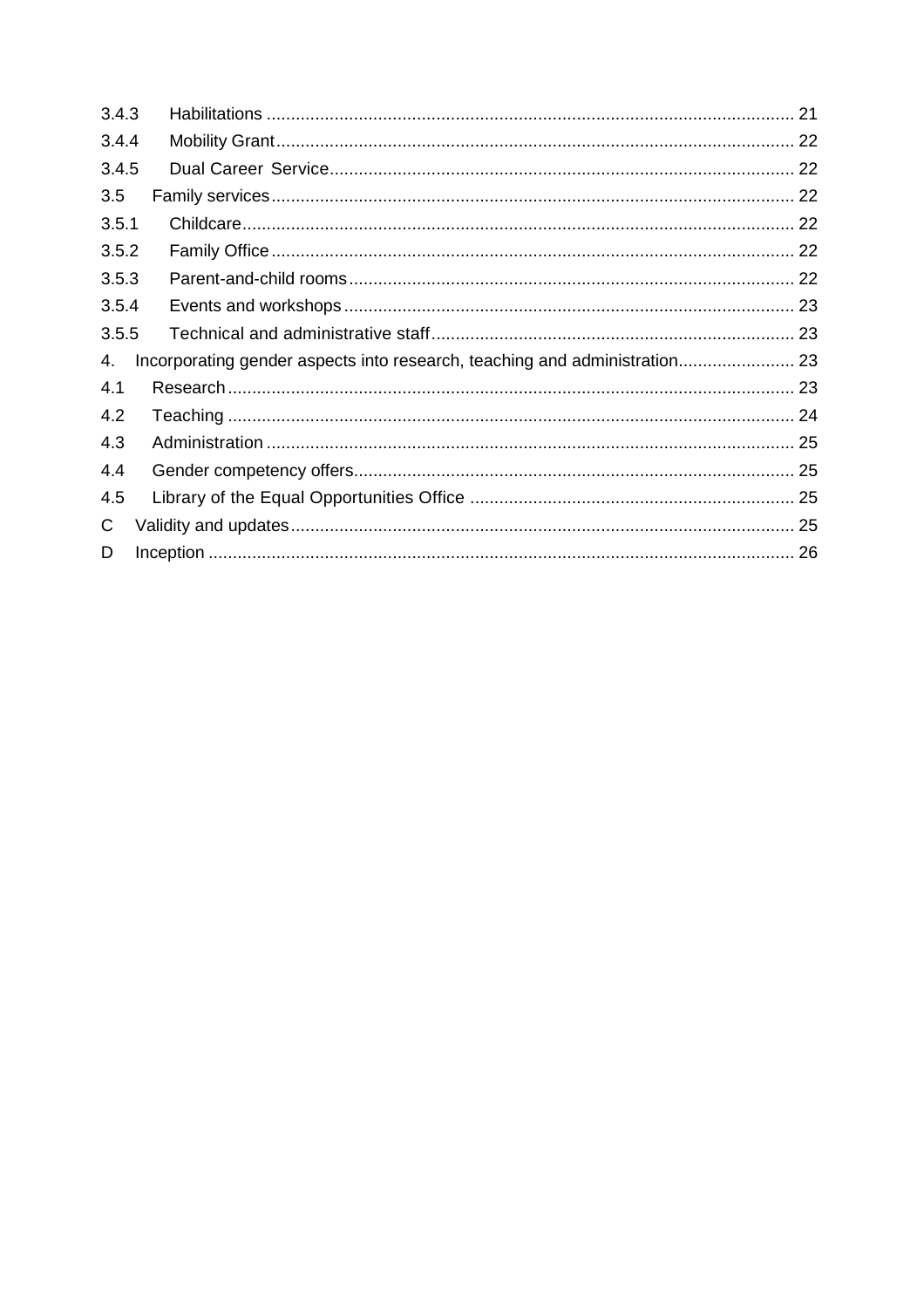| 3.4.3 |                                                                            |  |
|-------|----------------------------------------------------------------------------|--|
| 3.4.4 |                                                                            |  |
| 3.4.5 |                                                                            |  |
| 3.5   |                                                                            |  |
| 3.5.1 |                                                                            |  |
| 3.5.2 |                                                                            |  |
| 3.5.3 |                                                                            |  |
| 3.5.4 |                                                                            |  |
| 3.5.5 |                                                                            |  |
| 4.    | Incorporating gender aspects into research, teaching and administration 23 |  |
| 4.1   |                                                                            |  |
| 4.2   |                                                                            |  |
| 4.3   |                                                                            |  |
| 4.4   |                                                                            |  |
| 4.5   |                                                                            |  |
| C.    |                                                                            |  |
| D     |                                                                            |  |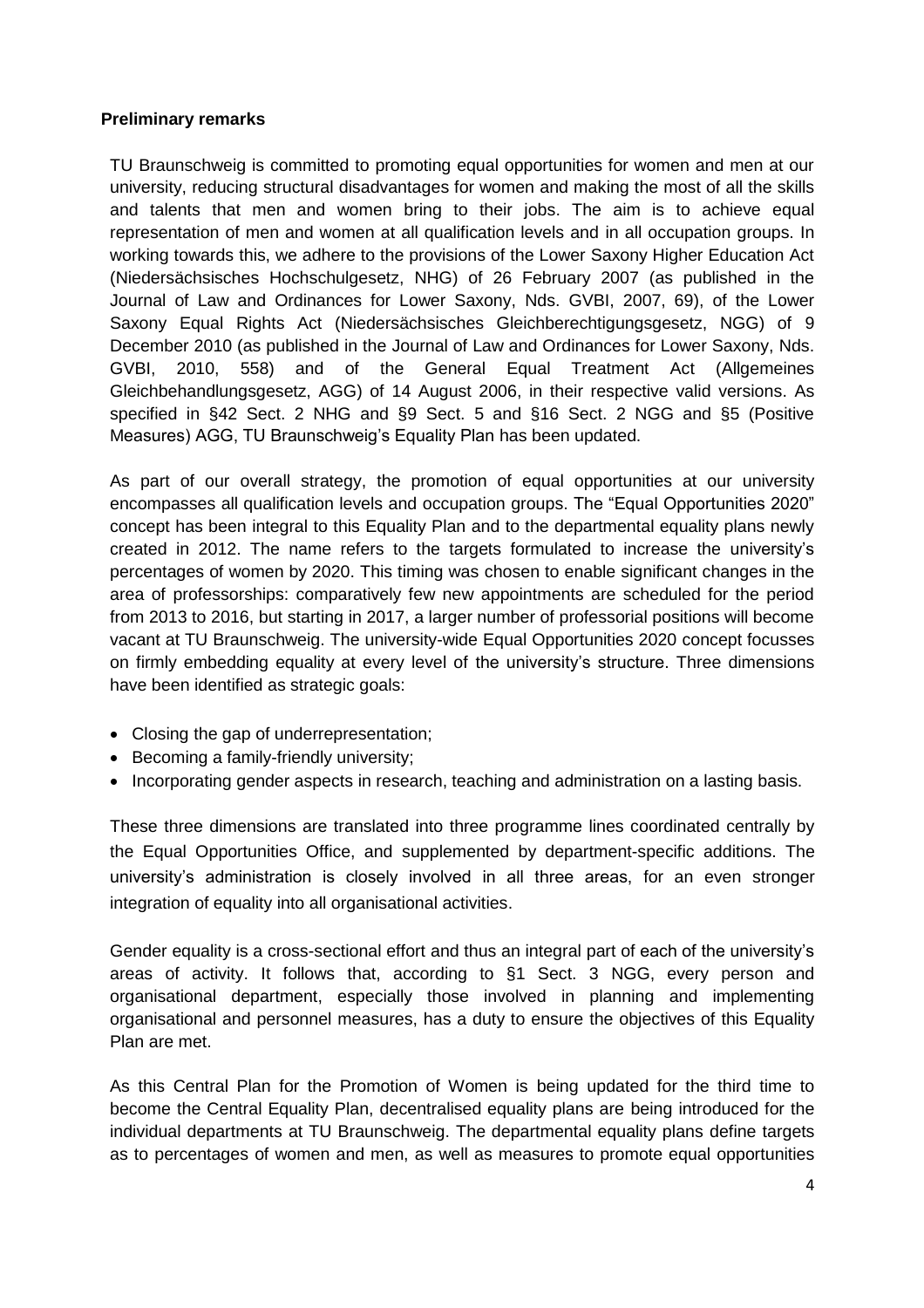#### <span id="page-3-0"></span>**Preliminary remarks**

TU Braunschweig is committed to promoting equal opportunities for women and men at our university, reducing structural disadvantages for women and making the most of all the skills and talents that men and women bring to their jobs. The aim is to achieve equal representation of men and women at all qualification levels and in all occupation groups. In working towards this, we adhere to the provisions of the Lower Saxony Higher Education Act (Niedersächsisches Hochschulgesetz, NHG) of 26 February 2007 (as published in the Journal of Law and Ordinances for Lower Saxony, Nds. GVBI, 2007, 69), of the Lower Saxony Equal Rights Act (Niedersächsisches Gleichberechtigungsgesetz, NGG) of 9 December 2010 (as published in the Journal of Law and Ordinances for Lower Saxony, Nds. GVBI, 2010, 558) and of the General Equal Treatment Act (Allgemeines Gleichbehandlungsgesetz, AGG) of 14 August 2006, in their respective valid versions. As specified in §42 Sect. 2 NHG and §9 Sect. 5 and §16 Sect. 2 NGG and §5 (Positive Measures) AGG, TU Braunschweig's Equality Plan has been updated.

As part of our overall strategy, the promotion of equal opportunities at our university encompasses all qualification levels and occupation groups. The "Equal Opportunities 2020" concept has been integral to this Equality Plan and to the departmental equality plans newly created in 2012. The name refers to the targets formulated to increase the university's percentages of women by 2020. This timing was chosen to enable significant changes in the area of professorships: comparatively few new appointments are scheduled for the period from 2013 to 2016, but starting in 2017, a larger number of professorial positions will become vacant at TU Braunschweig. The university-wide Equal Opportunities 2020 concept focusses on firmly embedding equality at every level of the university's structure. Three dimensions have been identified as strategic goals:

- Closing the gap of underrepresentation;
- Becoming a family-friendly university;
- Incorporating gender aspects in research, teaching and administration on a lasting basis.

These three dimensions are translated into three programme lines coordinated centrally by the Equal Opportunities Office, and supplemented by department-specific additions. The university's administration is closely involved in all three areas, for an even stronger integration of equality into all organisational activities.

Gender equality is a cross-sectional effort and thus an integral part of each of the university's areas of activity. It follows that, according to §1 Sect. 3 NGG, every person and organisational department, especially those involved in planning and implementing organisational and personnel measures, has a duty to ensure the objectives of this Equality Plan are met.

As this Central Plan for the Promotion of Women is being updated for the third time to become the Central Equality Plan, decentralised equality plans are being introduced for the individual departments at TU Braunschweig. The departmental equality plans define targets as to percentages of women and men, as well as measures to promote equal opportunities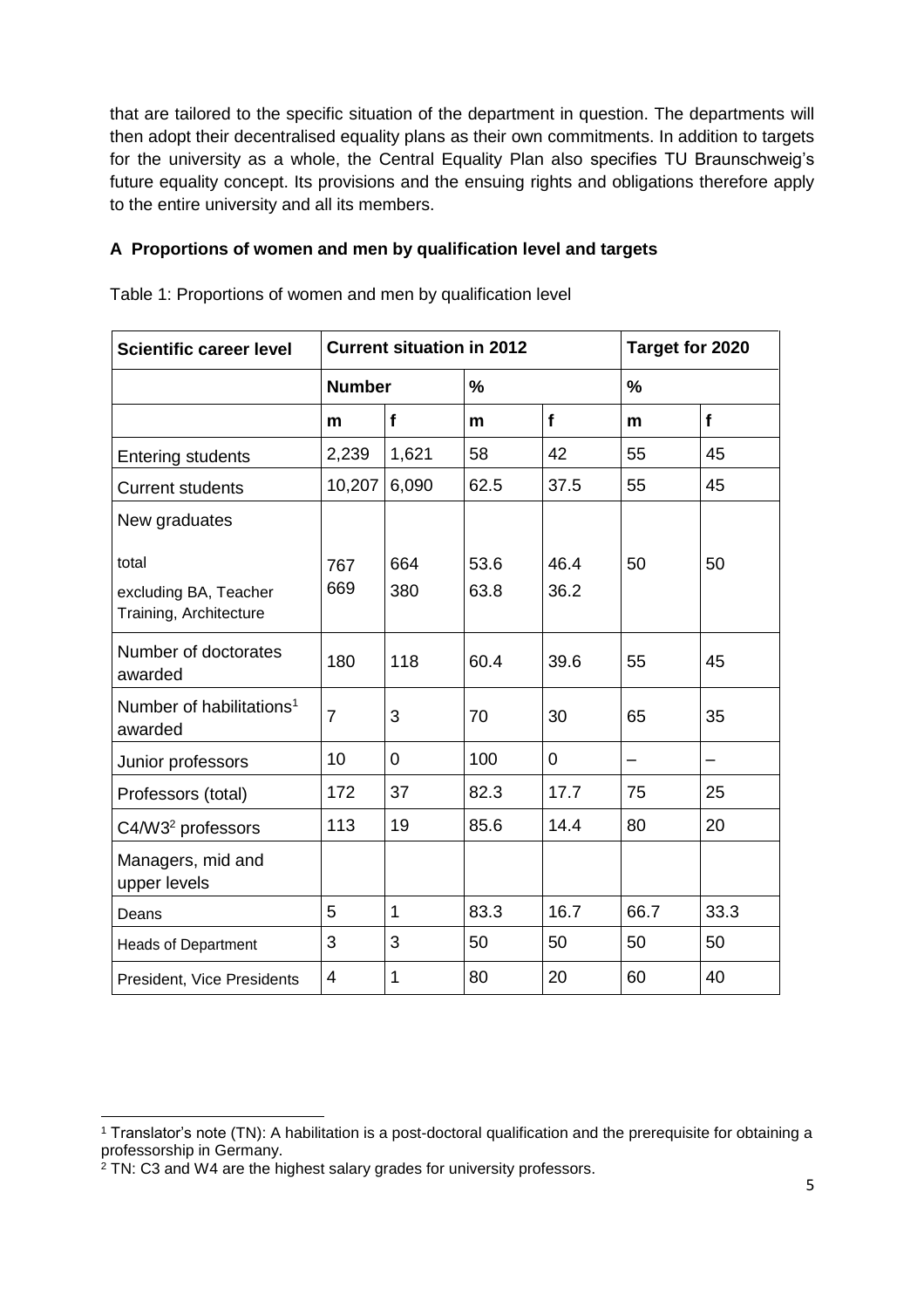that are tailored to the specific situation of the department in question. The departments will then adopt their decentralised equality plans as their own commitments. In addition to targets for the university as a whole, the Central Equality Plan also specifies TU Braunschweig's future equality concept. Its provisions and the ensuing rights and obligations therefore apply to the entire university and all its members.

#### <span id="page-4-0"></span>**A Proportions of women and men by qualification level and targets**

| <b>Scientific career level</b>                           | <b>Current situation in 2012</b> |                |               |              | Target for 2020 |      |
|----------------------------------------------------------|----------------------------------|----------------|---------------|--------------|-----------------|------|
|                                                          | <b>Number</b>                    |                | $\frac{1}{2}$ |              | $\frac{0}{0}$   |      |
|                                                          | m                                | $\mathbf f$    | m             | f            | m               | f    |
| <b>Entering students</b>                                 | 2,239                            | 1,621          | 58            | 42           | 55              | 45   |
| <b>Current students</b>                                  | 10,207                           | 6,090          | 62.5          | 37.5         | 55              | 45   |
| New graduates                                            |                                  |                |               |              |                 |      |
| total<br>excluding BA, Teacher<br>Training, Architecture | 767<br>669                       | 664<br>380     | 53.6<br>63.8  | 46.4<br>36.2 | 50              | 50   |
| Number of doctorates<br>awarded                          | 180                              | 118            | 60.4          | 39.6         | 55              | 45   |
| Number of habilitations <sup>1</sup><br>awarded          | $\overline{7}$                   | 3              | 70            | 30           | 65              | 35   |
| Junior professors                                        | 10                               | $\overline{0}$ | 100           | 0            | —               | -    |
| Professors (total)                                       | 172                              | 37             | 82.3          | 17.7         | 75              | 25   |
| C4/W3 <sup>2</sup> professors                            | 113                              | 19             | 85.6          | 14.4         | 80              | 20   |
| Managers, mid and<br>upper levels                        |                                  |                |               |              |                 |      |
| Deans                                                    | 5                                | $\mathbf{1}$   | 83.3          | 16.7         | 66.7            | 33.3 |
| <b>Heads of Department</b>                               | 3                                | 3              | 50            | 50           | 50              | 50   |
| President, Vice Presidents                               | $\overline{4}$                   | 1              | 80            | 20           | 60              | 40   |

Table 1: Proportions of women and men by qualification level

<sup>1</sup> Translator's note (TN): A habilitation is a post-doctoral qualification and the prerequisite for obtaining a professorship in Germany.

<sup>&</sup>lt;sup>2</sup> TN: C3 and W4 are the highest salary grades for university professors.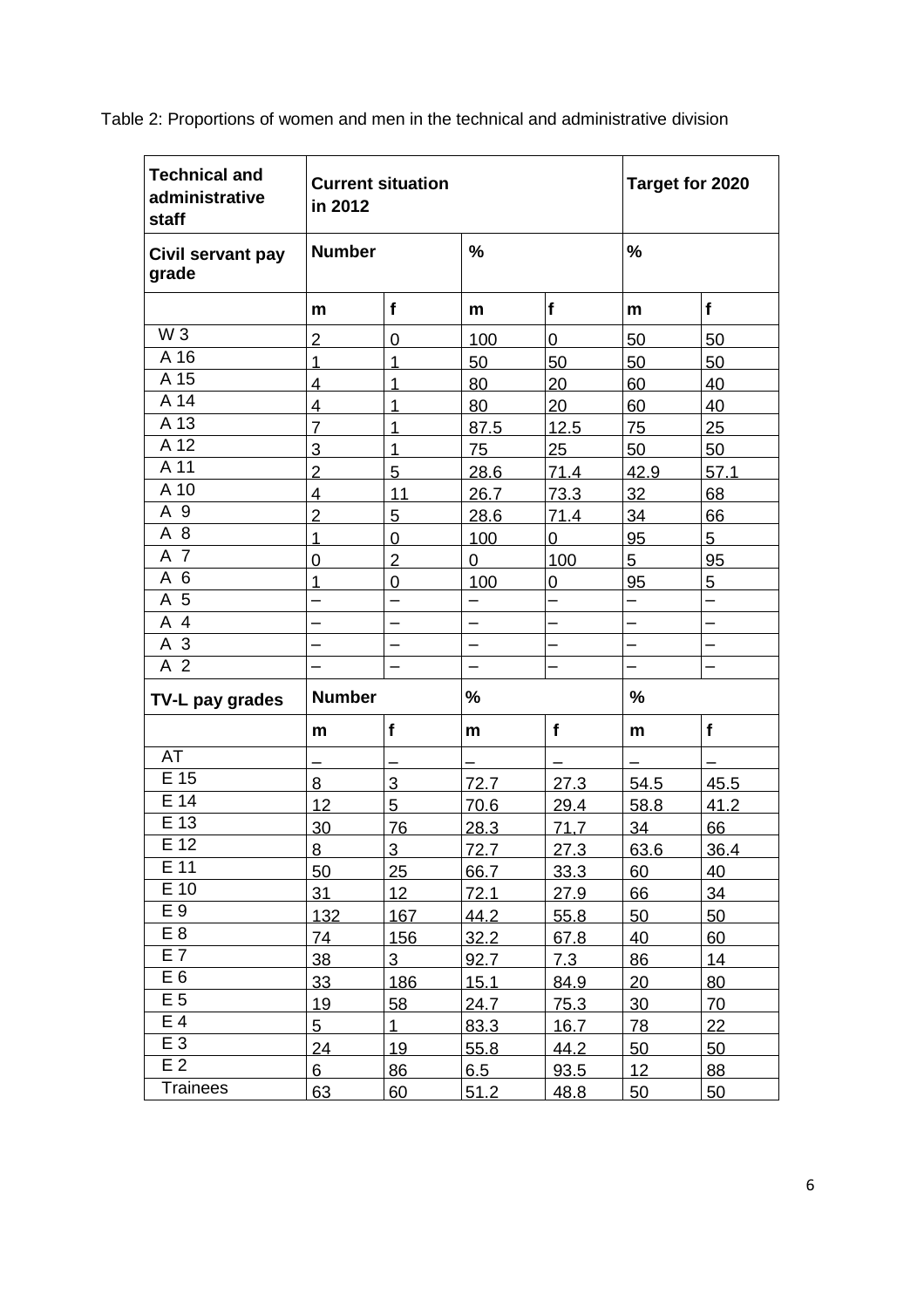| <b>Technical and</b><br>administrative<br>staff | in 2012        | <b>Current situation</b> |                          | Target for 2020 |      |                          |  |
|-------------------------------------------------|----------------|--------------------------|--------------------------|-----------------|------|--------------------------|--|
| <b>Number</b><br>Civil servant pay<br>grade     |                | %                        |                          |                 | %    |                          |  |
|                                                 | m              | $\mathbf f$              | m                        | f               | m    | f                        |  |
| W <sub>3</sub>                                  | $\overline{2}$ | $\mathbf 0$              | 100                      | $\mathbf 0$     | 50   | 50                       |  |
| A 16                                            | 1              | 1                        | 50                       | 50              | 50   | 50                       |  |
| A 15                                            | 4              | 1                        | 80                       | 20              | 60   | 40                       |  |
| A 14                                            | 4              | $\overline{1}$           | 80                       | 20              | 60   | 40                       |  |
| A 13                                            | $\overline{7}$ | $\overline{1}$           | 87.5                     | 12.5            | 75   | 25                       |  |
| A 12                                            | 3              | 1                        | 75                       | 25              | 50   | 50                       |  |
| A 11                                            | $\overline{2}$ | 5                        | 28.6                     | 71.4            | 42.9 | 57.1                     |  |
| A 10                                            | $\overline{4}$ | 11                       | 26.7                     | 73.3            | 32   | 68                       |  |
| A 9                                             | $\overline{2}$ | 5                        | 28.6                     | 71.4            | 34   | 66                       |  |
| A 8                                             | 1              | 0                        | 100                      | 0               | 95   | 5                        |  |
| A 7                                             | 0              | $\overline{2}$           | 0                        | 100             | 5    | 95                       |  |
| A 6                                             | 1              | 0                        | 100                      | 0               | 95   | 5                        |  |
| A 5                                             |                |                          |                          |                 |      | $\overline{\phantom{0}}$ |  |
| A 4                                             |                |                          |                          |                 |      |                          |  |
| A 3                                             |                |                          |                          |                 |      |                          |  |
| $\overline{A}$ 2                                |                |                          | $\overline{\phantom{0}}$ |                 |      |                          |  |
| TV-L pay grades                                 | <b>Number</b>  |                          | %                        |                 |      | $\frac{9}{6}$            |  |
|                                                 | m              | f                        | m                        | $\mathbf f$     | m    | f                        |  |
| <b>AT</b>                                       |                |                          |                          |                 |      |                          |  |
| E 15                                            | 8              | 3                        | 72.7                     | 27.3            | 54.5 | 45.5                     |  |
| E 14                                            | 12             | 5                        | 70.6                     | 29.4            | 58.8 | 41.2                     |  |
| E 13                                            | 30             | 76                       | 28.3                     | 71,7            | 34   | 66                       |  |
| $E$ 12                                          | 8              | 3                        | 72.7                     | 27.3            | 63.6 | 36.4                     |  |
| E 11                                            | 50             | 25                       | 66.7                     | 33.3            | 60   | 40                       |  |
| $E$ 10                                          | 31             | 12                       | 72.1                     | 27.9            | 66   | 34                       |  |
| E 9                                             | 132            | 167                      | 44.2                     | 55.8            | 50   | 50                       |  |
| E <sub>8</sub>                                  | 74             | 156                      | 32.2                     | 67.8            | 40   | 60                       |  |
| E <sub>7</sub>                                  | 38             | 3 <sup>1</sup>           | 92.7                     | 7.3             | 86   | 14                       |  |
| E <sub>6</sub>                                  | 33             | 186                      | 15.1                     | 84.9            | 20   | 80                       |  |
| E 5                                             | 19             | 58                       | 24.7                     | 75.3            | 30   | 70                       |  |
| E 4                                             | 5              | $\mathbf 1$              | 83.3                     | 16.7            | 78   | 22                       |  |
| E 3                                             | 24             | 19                       | 55.8                     | 44.2            | 50   | 50                       |  |
| E <sub>2</sub>                                  | 6              | 86                       | 6.5                      | 93.5            | 12   | 88                       |  |
| <b>Trainees</b>                                 | 63             | 60                       | 51.2                     | 48.8            | 50   | 50                       |  |

Table 2: Proportions of women and men in the technical and administrative division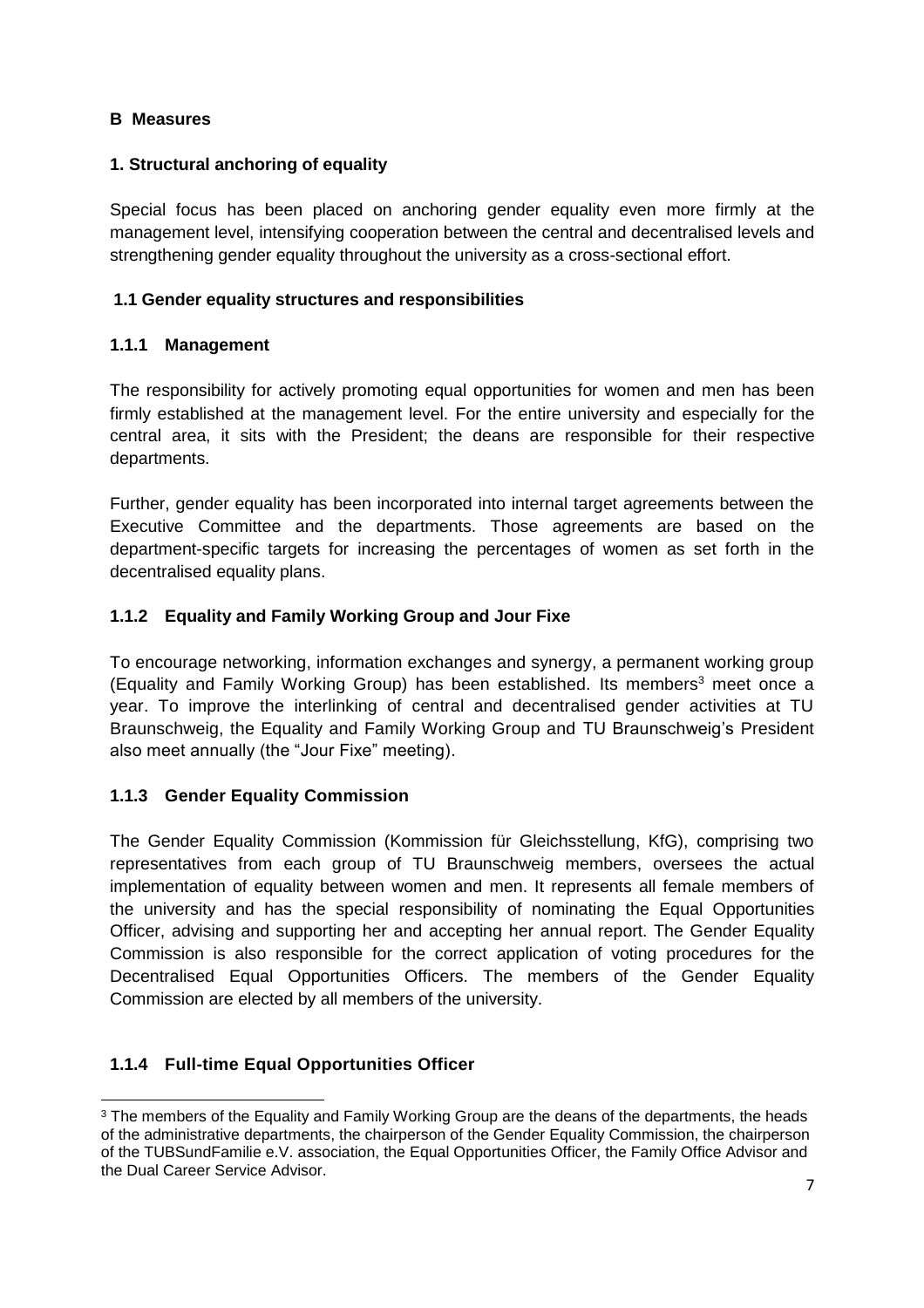#### <span id="page-6-0"></span>**B Measures**

#### **1. Structural anchoring of equality**

Special focus has been placed on anchoring gender equality even more firmly at the management level, intensifying cooperation between the central and decentralised levels and strengthening gender equality throughout the university as a cross-sectional effort.

#### <span id="page-6-1"></span>**1.1 Gender equality structures and responsibilities**

#### **1.1.1 Management**

The responsibility for actively promoting equal opportunities for women and men has been firmly established at the management level. For the entire university and especially for the central area, it sits with the President; the deans are responsible for their respective departments.

Further, gender equality has been incorporated into internal target agreements between the Executive Committee and the departments. Those agreements are based on the department-specific targets for increasing the percentages of women as set forth in the decentralised equality plans.

#### <span id="page-6-2"></span>**1.1.2 Equality and Family Working Group and Jour Fixe**

To encourage networking, information exchanges and synergy, a permanent working group (Equality and Family Working Group) has been established. Its members<sup>3</sup> meet once a year. To improve the interlinking of central and decentralised gender activities at TU Braunschweig, the Equality and Family Working Group and TU Braunschweig's President also meet annually (the "Jour Fixe" meeting).

#### <span id="page-6-3"></span>**1.1.3 Gender Equality Commission**

The Gender Equality Commission (Kommission für Gleichsstellung, KfG), comprising two representatives from each group of TU Braunschweig members, oversees the actual implementation of equality between women and men. It represents all female members of the university and has the special responsibility of nominating the Equal Opportunities Officer, advising and supporting her and accepting her annual report. The Gender Equality Commission is also responsible for the correct application of voting procedures for the Decentralised Equal Opportunities Officers. The members of the Gender Equality Commission are elected by all members of the university.

#### <span id="page-6-4"></span>**1.1.4 Full-time Equal Opportunities Officer**

 $\overline{a}$ <sup>3</sup> The members of the Equality and Family Working Group are the deans of the departments, the heads of the administrative departments, the chairperson of the Gender Equality Commission, the chairperson of the TUBSundFamilie e.V. association, the Equal Opportunities Officer, the Family Office Advisor and the Dual Career Service Advisor.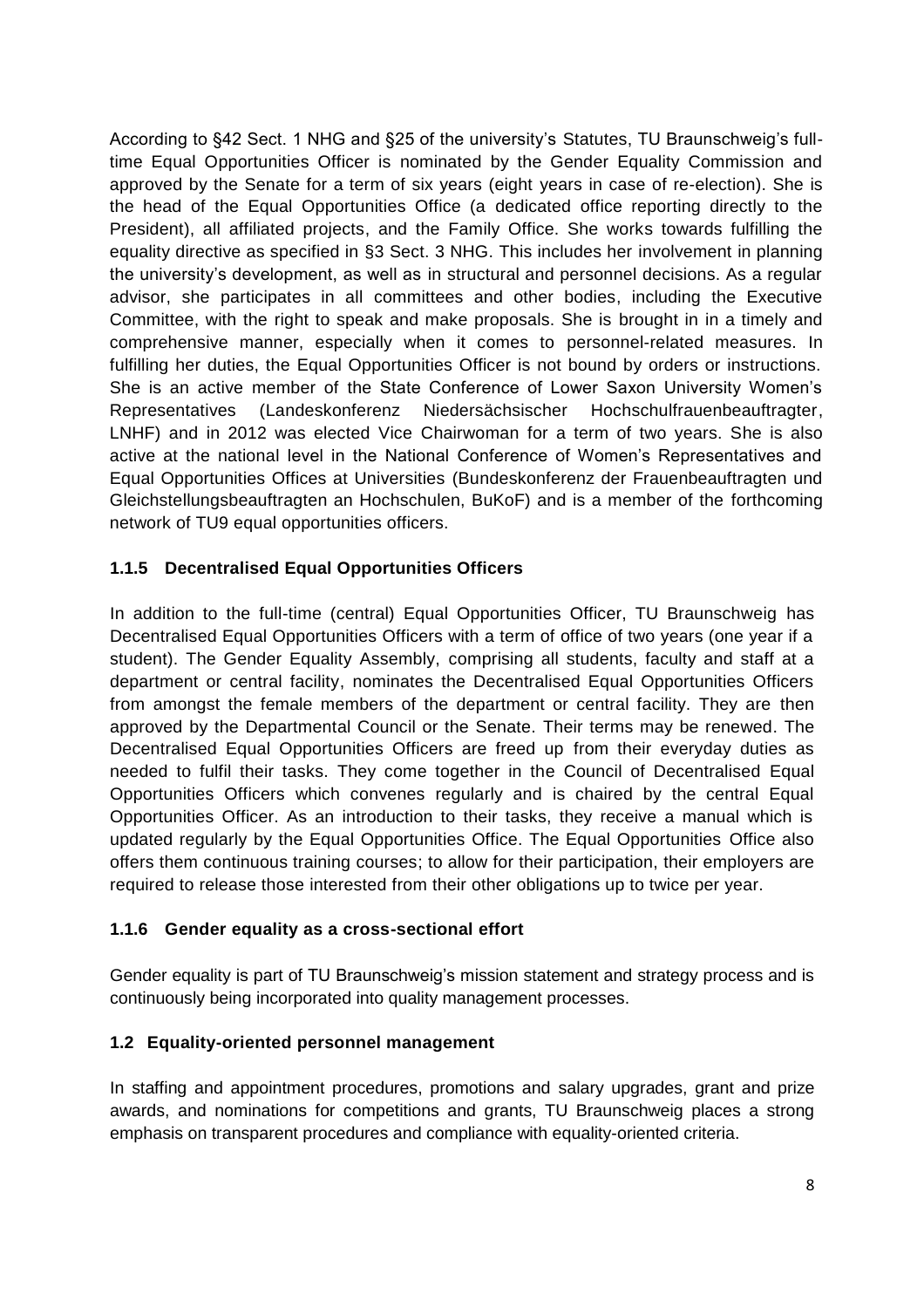According to §42 Sect. 1 NHG and §25 of the university's Statutes, TU Braunschweig's fulltime Equal Opportunities Officer is nominated by the Gender Equality Commission and approved by the Senate for a term of six years (eight years in case of re-election). She is the head of the Equal Opportunities Office (a dedicated office reporting directly to the President), all affiliated projects, and the Family Office. She works towards fulfilling the equality directive as specified in §3 Sect. 3 NHG. This includes her involvement in planning the university's development, as well as in structural and personnel decisions. As a regular advisor, she participates in all committees and other bodies, including the Executive Committee, with the right to speak and make proposals. She is brought in in a timely and comprehensive manner, especially when it comes to personnel-related measures. In fulfilling her duties, the Equal Opportunities Officer is not bound by orders or instructions. She is an active member of the State Conference of Lower Saxon University Women's Representatives (Landeskonferenz Niedersächsischer Hochschulfrauenbeauftragter, LNHF) and in 2012 was elected Vice Chairwoman for a term of two years. She is also active at the national level in the National Conference of Women's Representatives and Equal Opportunities Offices at Universities (Bundeskonferenz der Frauenbeauftragten und Gleichstellungsbeauftragten an Hochschulen, BuKoF) and is a member of the forthcoming network of TU9 equal opportunities officers.

#### <span id="page-7-0"></span>**1.1.5 Decentralised Equal Opportunities Officers**

In addition to the full-time (central) Equal Opportunities Officer, TU Braunschweig has Decentralised Equal Opportunities Officers with a term of office of two years (one year if a student). The Gender Equality Assembly, comprising all students, faculty and staff at a department or central facility, nominates the Decentralised Equal Opportunities Officers from amongst the female members of the department or central facility. They are then approved by the Departmental Council or the Senate. Their terms may be renewed. The Decentralised Equal Opportunities Officers are freed up from their everyday duties as needed to fulfil their tasks. They come together in the Council of Decentralised Equal Opportunities Officers which convenes regularly and is chaired by the central Equal Opportunities Officer. As an introduction to their tasks, they receive a manual which is updated regularly by the Equal Opportunities Office. The Equal Opportunities Office also offers them continuous training courses; to allow for their participation, their employers are required to release those interested from their other obligations up to twice per year.

#### <span id="page-7-1"></span>**1.1.6 Gender equality as a cross-sectional effort**

Gender equality is part of TU Braunschweig's mission statement and strategy process and is continuously being incorporated into quality management processes.

#### <span id="page-7-2"></span>**1.2 Equality-oriented personnel management**

In staffing and appointment procedures, promotions and salary upgrades, grant and prize awards, and nominations for competitions and grants, TU Braunschweig places a strong emphasis on transparent procedures and compliance with equality-oriented criteria.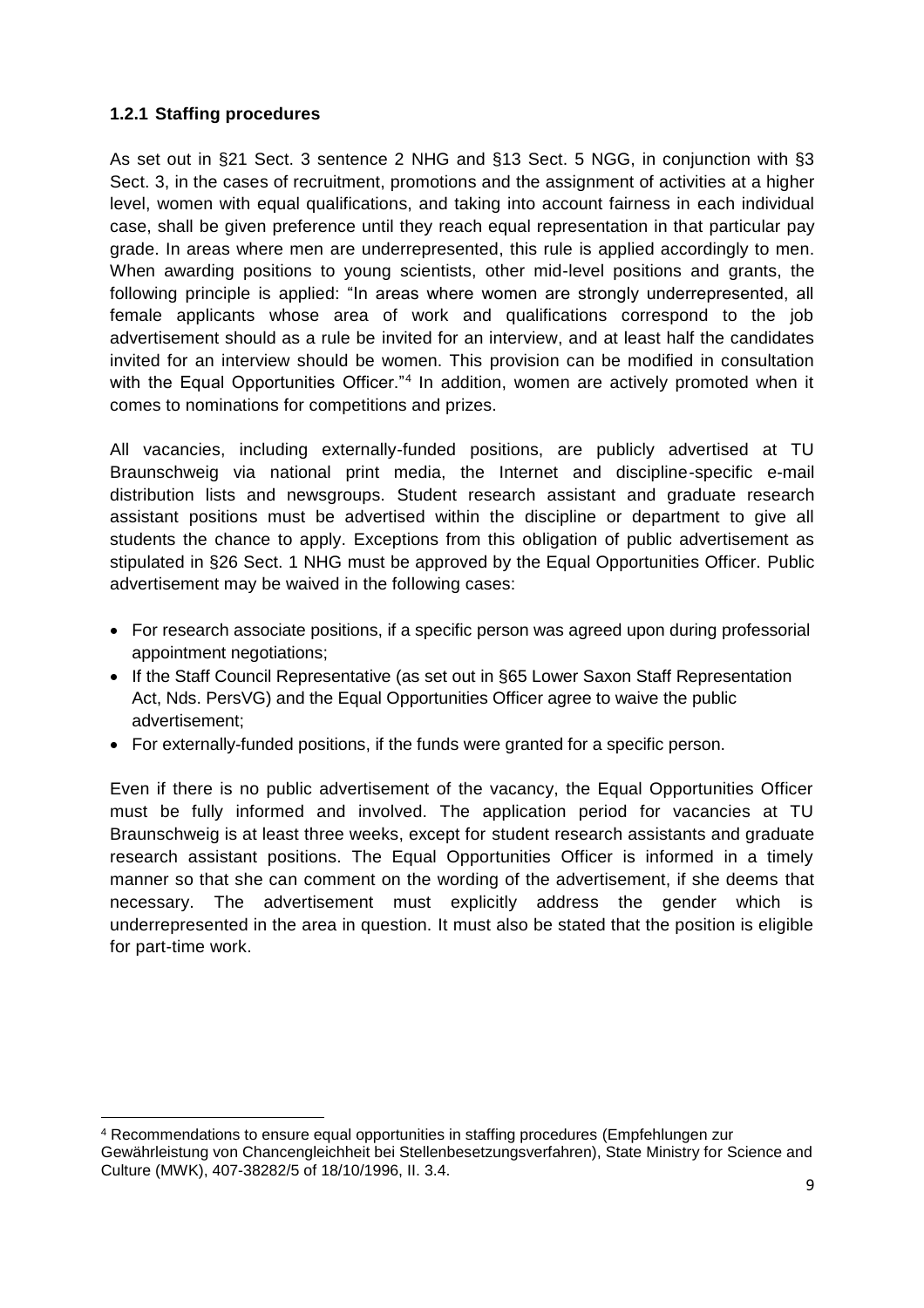#### <span id="page-8-0"></span>**1.2.1 Staffing procedures**

 $\overline{a}$ 

As set out in §21 Sect. 3 sentence 2 NHG and §13 Sect. 5 NGG, in conjunction with §3 Sect. 3, in the cases of recruitment, promotions and the assignment of activities at a higher level, women with equal qualifications, and taking into account fairness in each individual case, shall be given preference until they reach equal representation in that particular pay grade. In areas where men are underrepresented, this rule is applied accordingly to men. When awarding positions to young scientists, other mid-level positions and grants, the following principle is applied: "In areas where women are strongly underrepresented, all female applicants whose area of work and qualifications correspond to the job advertisement should as a rule be invited for an interview, and at least half the candidates invited for an interview should be women. This provision can be modified in consultation with the Equal Opportunities Officer."<sup>4</sup> In addition, women are actively promoted when it comes to nominations for competitions and prizes.

All vacancies, including externally-funded positions, are publicly advertised at TU Braunschweig via national print media, the Internet and discipline-specific e-mail distribution lists and newsgroups. Student research assistant and graduate research assistant positions must be advertised within the discipline or department to give all students the chance to apply. Exceptions from this obligation of public advertisement as stipulated in §26 Sect. 1 NHG must be approved by the Equal Opportunities Officer. Public advertisement may be waived in the following cases:

- For research associate positions, if a specific person was agreed upon during professorial appointment negotiations;
- If the Staff Council Representative (as set out in §65 Lower Saxon Staff Representation Act, Nds. PersVG) and the Equal Opportunities Officer agree to waive the public advertisement;
- For externally-funded positions, if the funds were granted for a specific person.

Even if there is no public advertisement of the vacancy, the Equal Opportunities Officer must be fully informed and involved. The application period for vacancies at TU Braunschweig is at least three weeks, except for student research assistants and graduate research assistant positions. The Equal Opportunities Officer is informed in a timely manner so that she can comment on the wording of the advertisement, if she deems that necessary. The advertisement must explicitly address the gender which is underrepresented in the area in question. It must also be stated that the position is eligible for part-time work.

<sup>4</sup> Recommendations to ensure equal opportunities in staffing procedures (Empfehlungen zur Gewährleistung von Chancengleichheit bei Stellenbesetzungsverfahren), State Ministry for Science and Culture (MWK), 407-38282/5 of 18/10/1996, II. 3.4.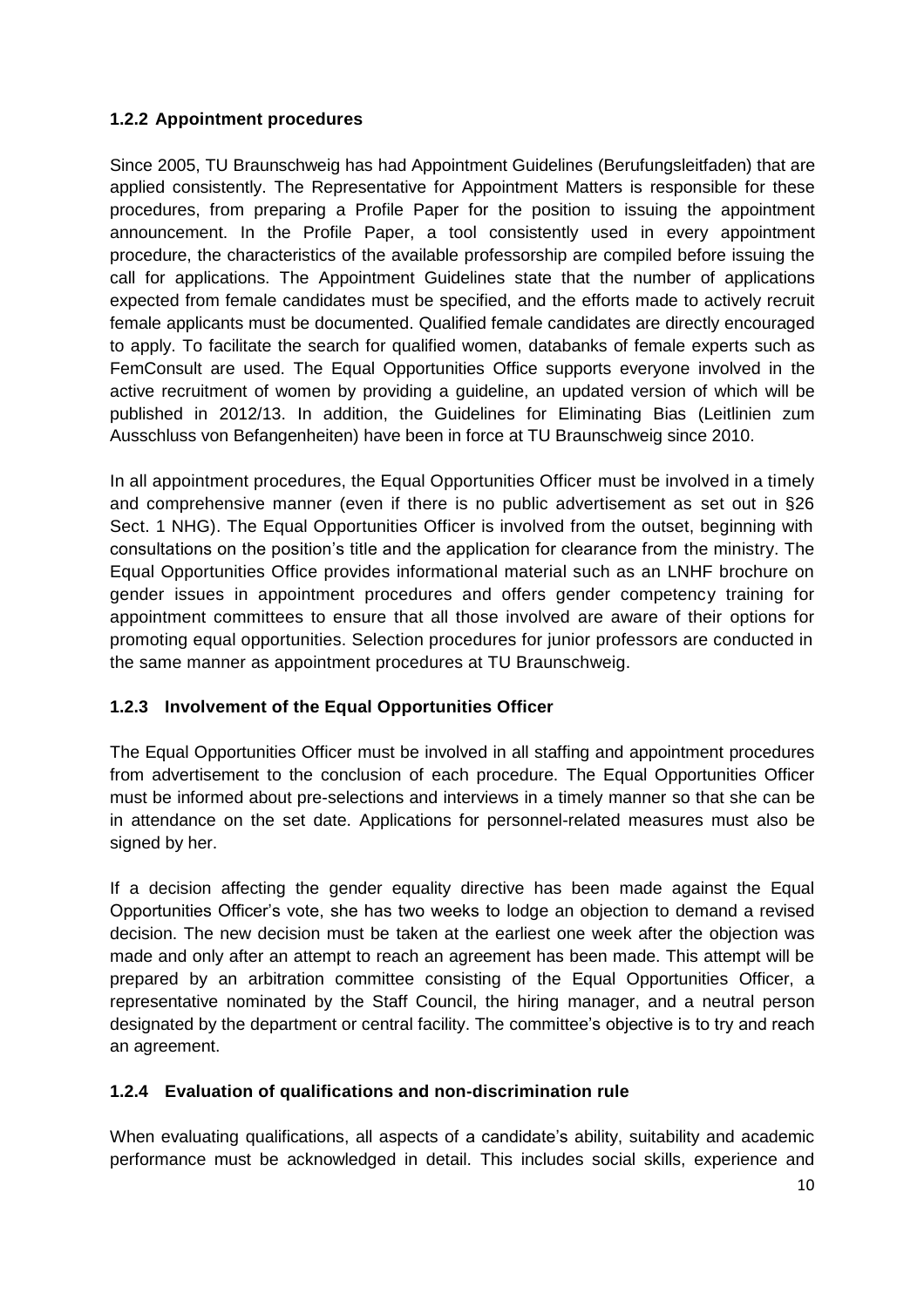#### <span id="page-9-0"></span>**1.2.2 Appointment procedures**

Since 2005, TU Braunschweig has had Appointment Guidelines (Berufungsleitfaden) that are applied consistently. The Representative for Appointment Matters is responsible for these procedures, from preparing a Profile Paper for the position to issuing the appointment announcement. In the Profile Paper, a tool consistently used in every appointment procedure, the characteristics of the available professorship are compiled before issuing the call for applications. The Appointment Guidelines state that the number of applications expected from female candidates must be specified, and the efforts made to actively recruit female applicants must be documented. Qualified female candidates are directly encouraged to apply. To facilitate the search for qualified women, databanks of female experts such as FemConsult are used. The Equal Opportunities Office supports everyone involved in the active recruitment of women by providing a guideline, an updated version of which will be published in 2012/13. In addition, the Guidelines for Eliminating Bias (Leitlinien zum Ausschluss von Befangenheiten) have been in force at TU Braunschweig since 2010.

In all appointment procedures, the Equal Opportunities Officer must be involved in a timely and comprehensive manner (even if there is no public advertisement as set out in §26 Sect. 1 NHG). The Equal Opportunities Officer is involved from the outset, beginning with consultations on the position's title and the application for clearance from the ministry. The Equal Opportunities Office provides informational material such as an LNHF brochure on gender issues in appointment procedures and offers gender competency training for appointment committees to ensure that all those involved are aware of their options for promoting equal opportunities. Selection procedures for junior professors are conducted in the same manner as appointment procedures at TU Braunschweig.

#### <span id="page-9-1"></span>**1.2.3 Involvement of the Equal Opportunities Officer**

The Equal Opportunities Officer must be involved in all staffing and appointment procedures from advertisement to the conclusion of each procedure. The Equal Opportunities Officer must be informed about pre-selections and interviews in a timely manner so that she can be in attendance on the set date. Applications for personnel-related measures must also be signed by her.

If a decision affecting the gender equality directive has been made against the Equal Opportunities Officer's vote, she has two weeks to lodge an objection to demand a revised decision. The new decision must be taken at the earliest one week after the objection was made and only after an attempt to reach an agreement has been made. This attempt will be prepared by an arbitration committee consisting of the Equal Opportunities Officer, a representative nominated by the Staff Council, the hiring manager, and a neutral person designated by the department or central facility. The committee's objective is to try and reach an agreement.

#### <span id="page-9-2"></span>**1.2.4 Evaluation of qualifications and non-discrimination rule**

When evaluating qualifications, all aspects of a candidate's ability, suitability and academic performance must be acknowledged in detail. This includes social skills, experience and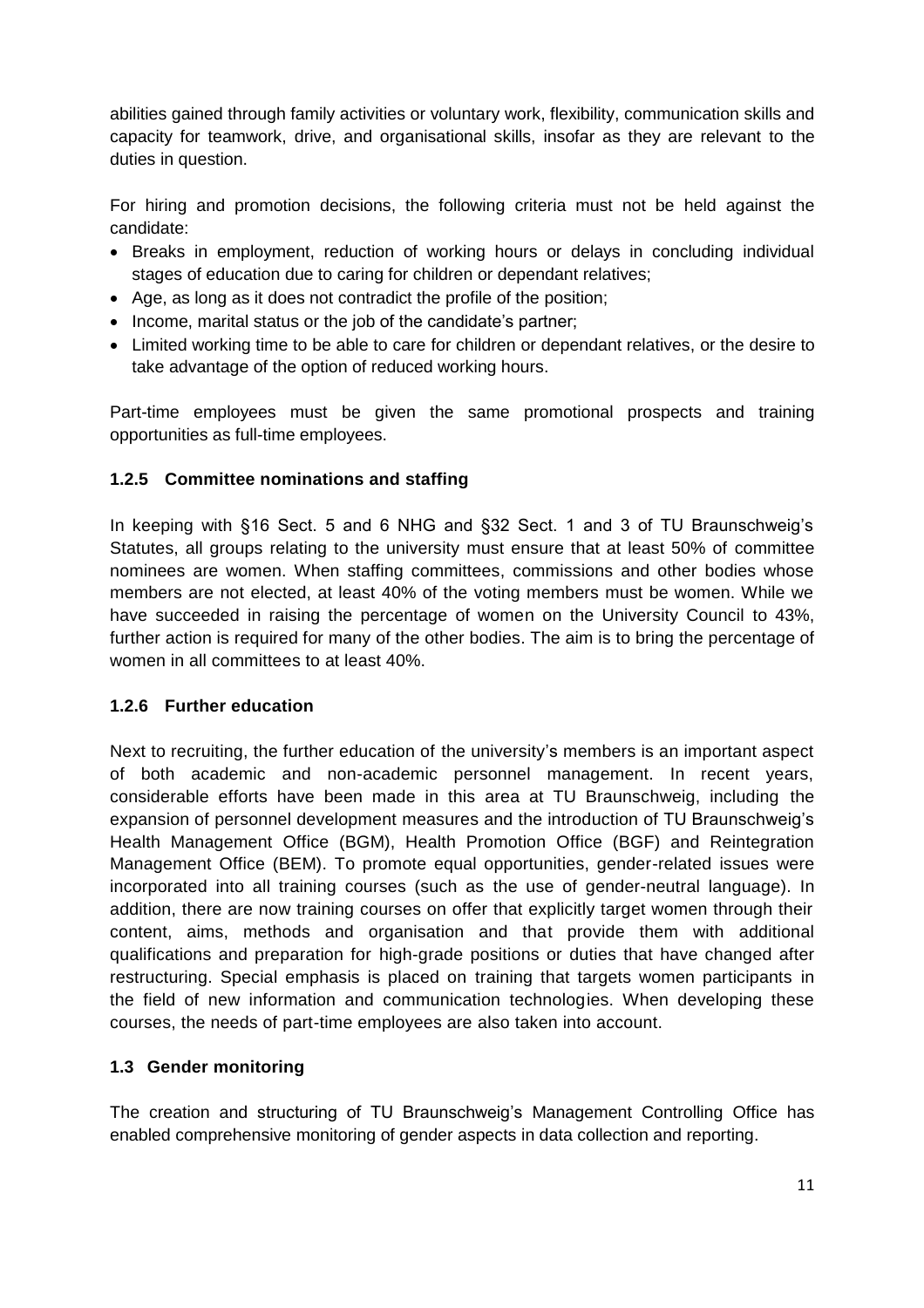abilities gained through family activities or voluntary work, flexibility, communication skills and capacity for teamwork, drive, and organisational skills, insofar as they are relevant to the duties in question.

For hiring and promotion decisions, the following criteria must not be held against the candidate:

- Breaks in employment, reduction of working hours or delays in concluding individual stages of education due to caring for children or dependant relatives;
- Age, as long as it does not contradict the profile of the position;
- Income, marital status or the job of the candidate's partner;
- Limited working time to be able to care for children or dependant relatives, or the desire to take advantage of the option of reduced working hours.

Part-time employees must be given the same promotional prospects and training opportunities as full-time employees.

#### <span id="page-10-0"></span>**1.2.5 Committee nominations and staffing**

In keeping with §16 Sect. 5 and 6 NHG and §32 Sect. 1 and 3 of TU Braunschweig's Statutes, all groups relating to the university must ensure that at least 50% of committee nominees are women. When staffing committees, commissions and other bodies whose members are not elected, at least 40% of the voting members must be women. While we have succeeded in raising the percentage of women on the University Council to 43%, further action is required for many of the other bodies. The aim is to bring the percentage of women in all committees to at least 40%.

#### <span id="page-10-1"></span>**1.2.6 Further education**

Next to recruiting, the further education of the university's members is an important aspect of both academic and non-academic personnel management. In recent years, considerable efforts have been made in this area at TU Braunschweig, including the expansion of personnel development measures and the introduction of TU Braunschweig's Health Management Office (BGM), Health Promotion Office (BGF) and Reintegration Management Office (BEM). To promote equal opportunities, gender-related issues were incorporated into all training courses (such as the use of gender-neutral language). In addition, there are now training courses on offer that explicitly target women through their content, aims, methods and organisation and that provide them with additional qualifications and preparation for high-grade positions or duties that have changed after restructuring. Special emphasis is placed on training that targets women participants in the field of new information and communication technologies. When developing these courses, the needs of part-time employees are also taken into account.

#### <span id="page-10-2"></span>**1.3 Gender monitoring**

The creation and structuring of TU Braunschweig's Management Controlling Office has enabled comprehensive monitoring of gender aspects in data collection and reporting.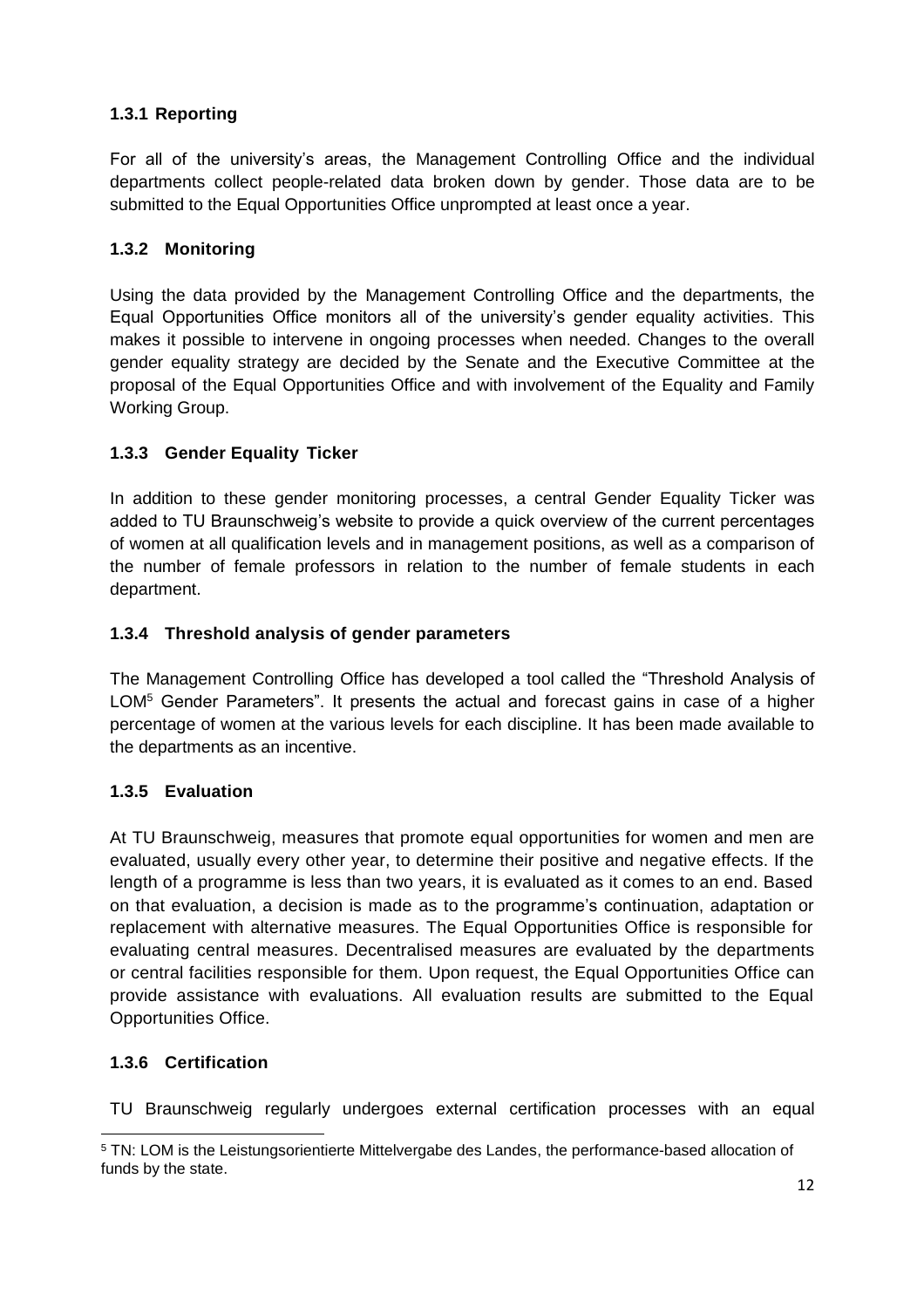#### <span id="page-11-0"></span>**1.3.1 Reporting**

For all of the university's areas, the Management Controlling Office and the individual departments collect people-related data broken down by gender. Those data are to be submitted to the Equal Opportunities Office unprompted at least once a year.

#### <span id="page-11-1"></span>**1.3.2 Monitoring**

Using the data provided by the Management Controlling Office and the departments, the Equal Opportunities Office monitors all of the university's gender equality activities. This makes it possible to intervene in ongoing processes when needed. Changes to the overall gender equality strategy are decided by the Senate and the Executive Committee at the proposal of the Equal Opportunities Office and with involvement of the Equality and Family Working Group.

#### <span id="page-11-2"></span>**1.3.3 Gender Equality Ticker**

In addition to these gender monitoring processes, a central Gender Equality Ticker was added to TU Braunschweig's website to provide a quick overview of the current percentages of women at all qualification levels and in management positions, as well as a comparison of the number of female professors in relation to the number of female students in each department.

#### <span id="page-11-3"></span>**1.3.4 Threshold analysis of gender parameters**

The Management Controlling Office has developed a tool called the "Threshold Analysis of LOM<sup>5</sup> Gender Parameters". It presents the actual and forecast gains in case of a higher percentage of women at the various levels for each discipline. It has been made available to the departments as an incentive.

#### <span id="page-11-4"></span>**1.3.5 Evaluation**

At TU Braunschweig, measures that promote equal opportunities for women and men are evaluated, usually every other year, to determine their positive and negative effects. If the length of a programme is less than two years, it is evaluated as it comes to an end. Based on that evaluation, a decision is made as to the programme's continuation, adaptation or replacement with alternative measures. The Equal Opportunities Office is responsible for evaluating central measures. Decentralised measures are evaluated by the departments or central facilities responsible for them. Upon request, the Equal Opportunities Office can provide assistance with evaluations. All evaluation results are submitted to the Equal Opportunities Office.

#### <span id="page-11-5"></span>**1.3.6 Certification**

TU Braunschweig regularly undergoes external certification processes with an equal

 $\overline{a}$ <sup>5</sup> TN: LOM is the Leistungsorientierte Mittelvergabe des Landes, the performance-based allocation of funds by the state.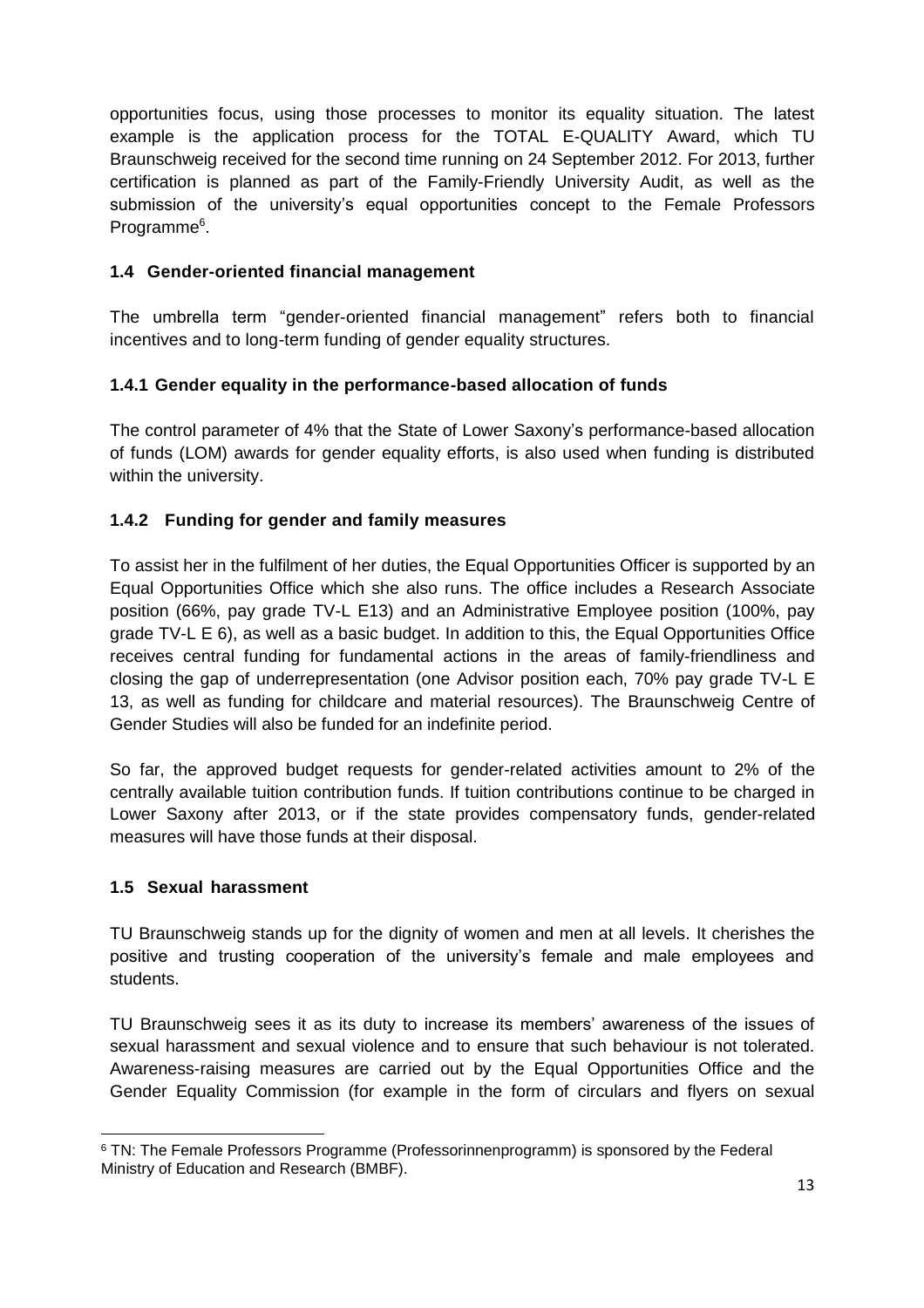opportunities focus, using those processes to monitor its equality situation. The latest example is the application process for the TOTAL E-QUALITY Award, which TU Braunschweig received for the second time running on 24 September 2012. For 2013, further certification is planned as part of the Family-Friendly University Audit, as well as the submission of the university's equal opportunities concept to the Female Professors Programme<sup>6</sup>.

#### <span id="page-12-0"></span>**1.4 Gender-oriented financial management**

The umbrella term "gender-oriented financial management" refers both to financial incentives and to long-term funding of gender equality structures.

#### <span id="page-12-1"></span>**1.4.1 Gender equality in the performance-based allocation of funds**

The control parameter of 4% that the State of Lower Saxony's performance-based allocation of funds (LOM) awards for gender equality efforts, is also used when funding is distributed within the university.

#### <span id="page-12-2"></span>**1.4.2 Funding for gender and family measures**

To assist her in the fulfilment of her duties, the Equal Opportunities Officer is supported by an Equal Opportunities Office which she also runs. The office includes a Research Associate position (66%, pay grade TV-L E13) and an Administrative Employee position (100%, pay grade TV-L E 6), as well as a basic budget. In addition to this, the Equal Opportunities Office receives central funding for fundamental actions in the areas of family-friendliness and closing the gap of underrepresentation (one Advisor position each, 70% pay grade TV-L E 13, as well as funding for childcare and material resources). The Braunschweig Centre of Gender Studies will also be funded for an indefinite period.

So far, the approved budget requests for gender-related activities amount to 2% of the centrally available tuition contribution funds. If tuition contributions continue to be charged in Lower Saxony after 2013, or if the state provides compensatory funds, gender-related measures will have those funds at their disposal.

#### <span id="page-12-3"></span>**1.5 Sexual harassment**

TU Braunschweig stands up for the dignity of women and men at all levels. It cherishes the positive and trusting cooperation of the university's female and male employees and students.

TU Braunschweig sees it as its duty to increase its members' awareness of the issues of sexual harassment and sexual violence and to ensure that such behaviour is not tolerated. Awareness-raising measures are carried out by the Equal Opportunities Office and the Gender Equality Commission (for example in the form of circulars and flyers on sexual

 $\overline{a}$ <sup>6</sup> TN: The Female Professors Programme (Professorinnenprogramm) is sponsored by the Federal Ministry of Education and Research (BMBF).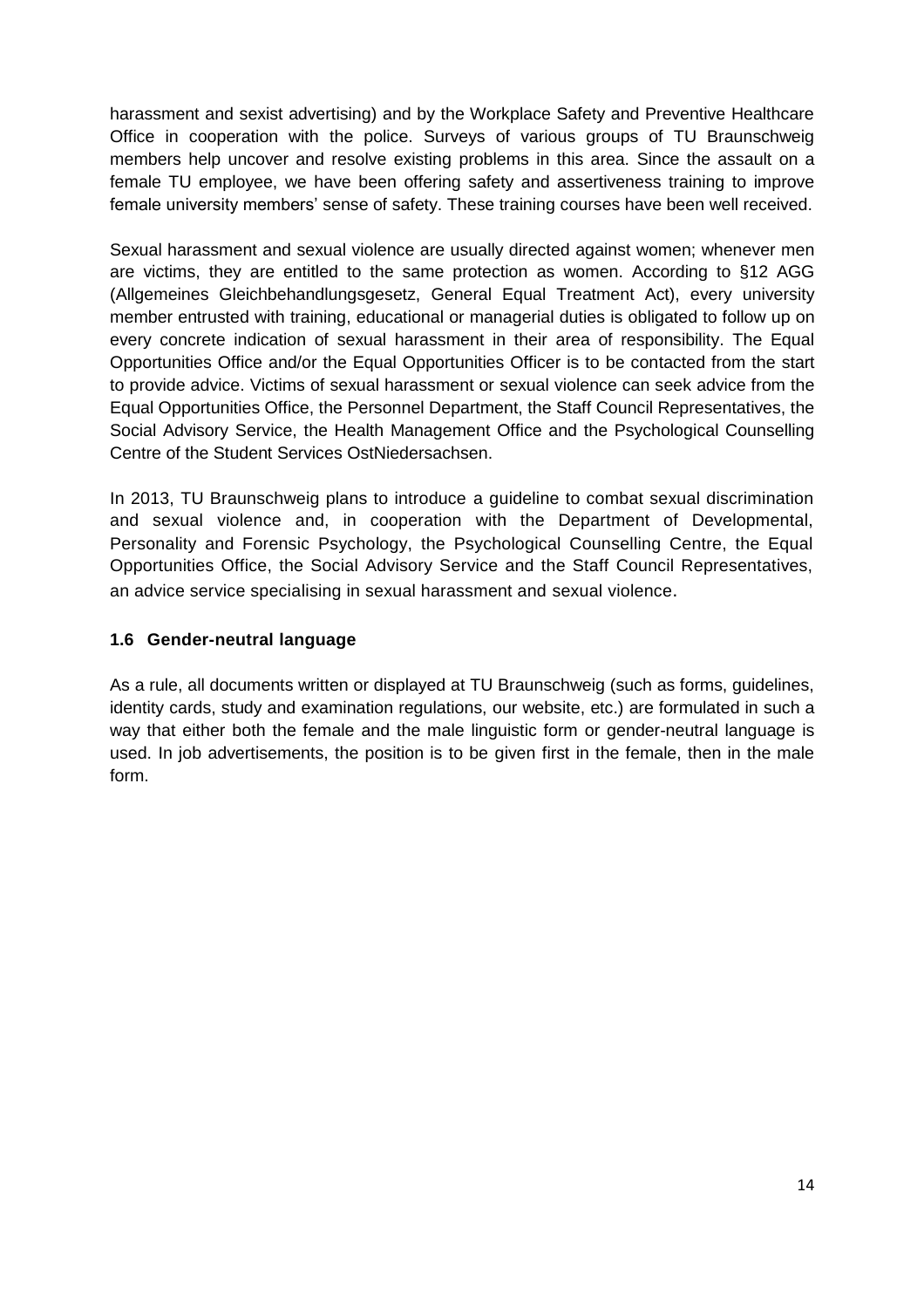harassment and sexist advertising) and by the Workplace Safety and Preventive Healthcare Office in cooperation with the police. Surveys of various groups of TU Braunschweig members help uncover and resolve existing problems in this area. Since the assault on a female TU employee, we have been offering safety and assertiveness training to improve female university members' sense of safety. These training courses have been well received.

Sexual harassment and sexual violence are usually directed against women; whenever men are victims, they are entitled to the same protection as women. According to §12 AGG (Allgemeines Gleichbehandlungsgesetz, General Equal Treatment Act), every university member entrusted with training, educational or managerial duties is obligated to follow up on every concrete indication of sexual harassment in their area of responsibility. The Equal Opportunities Office and/or the Equal Opportunities Officer is to be contacted from the start to provide advice. Victims of sexual harassment or sexual violence can seek advice from the Equal Opportunities Office, the Personnel Department, the Staff Council Representatives, the Social Advisory Service, the Health Management Office and the Psychological Counselling Centre of the Student Services OstNiedersachsen.

In 2013, TU Braunschweig plans to introduce a guideline to combat sexual discrimination and sexual violence and, in cooperation with the Department of Developmental, Personality and Forensic Psychology, the Psychological Counselling Centre, the Equal Opportunities Office, the Social Advisory Service and the Staff Council Representatives, an advice service specialising in sexual harassment and sexual violence.

#### <span id="page-13-0"></span>**1.6 Gender-neutral language**

As a rule, all documents written or displayed at TU Braunschweig (such as forms, guidelines, identity cards, study and examination regulations, our website, etc.) are formulated in such a way that either both the female and the male linguistic form or gender-neutral language is used. In job advertisements, the position is to be given first in the female, then in the male form.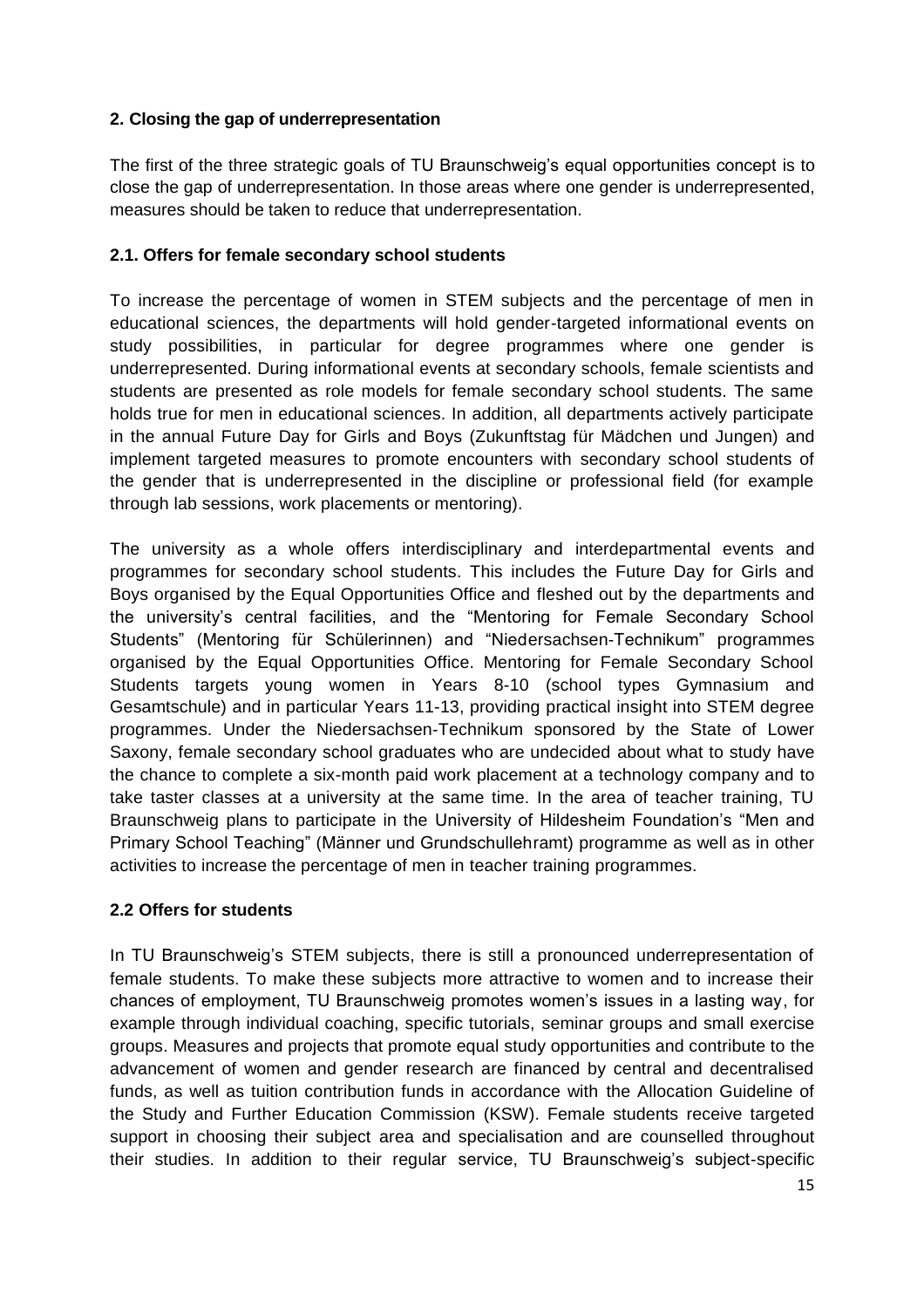#### <span id="page-14-0"></span>**2. Closing the gap of underrepresentation**

The first of the three strategic goals of TU Braunschweig's equal opportunities concept is to close the gap of underrepresentation. In those areas where one gender is underrepresented, measures should be taken to reduce that underrepresentation.

#### <span id="page-14-1"></span>**2.1. Offers for female secondary school students**

To increase the percentage of women in STEM subjects and the percentage of men in educational sciences, the departments will hold gender-targeted informational events on study possibilities, in particular for degree programmes where one gender is underrepresented. During informational events at secondary schools, female scientists and students are presented as role models for female secondary school students. The same holds true for men in educational sciences. In addition, all departments actively participate in the annual Future Day for Girls and Boys (Zukunftstag für Mädchen und Jungen) and implement targeted measures to promote encounters with secondary school students of the gender that is underrepresented in the discipline or professional field (for example through lab sessions, work placements or mentoring).

The university as a whole offers interdisciplinary and interdepartmental events and programmes for secondary school students. This includes the Future Day for Girls and Boys organised by the Equal Opportunities Office and fleshed out by the departments and the university's central facilities, and the "Mentoring for Female Secondary School Students" (Mentoring für Schülerinnen) and "Niedersachsen-Technikum" programmes organised by the Equal Opportunities Office. Mentoring for Female Secondary School Students targets young women in Years 8-10 (school types Gymnasium and Gesamtschule) and in particular Years 11-13, providing practical insight into STEM degree programmes. Under the Niedersachsen-Technikum sponsored by the State of Lower Saxony, female secondary school graduates who are undecided about what to study have the chance to complete a six-month paid work placement at a technology company and to take taster classes at a university at the same time. In the area of teacher training, TU Braunschweig plans to participate in the University of Hildesheim Foundation's "Men and Primary School Teaching" (Männer und Grundschullehramt) programme as well as in other activities to increase the percentage of men in teacher training programmes.

#### <span id="page-14-2"></span>**2.2 Offers for students**

In TU Braunschweig's STEM subjects, there is still a pronounced underrepresentation of female students. To make these subjects more attractive to women and to increase their chances of employment, TU Braunschweig promotes women's issues in a lasting way, for example through individual coaching, specific tutorials, seminar groups and small exercise groups. Measures and projects that promote equal study opportunities and contribute to the advancement of women and gender research are financed by central and decentralised funds, as well as tuition contribution funds in accordance with the Allocation Guideline of the Study and Further Education Commission (KSW). Female students receive targeted support in choosing their subject area and specialisation and are counselled throughout their studies. In addition to their regular service, TU Braunschweig's subject-specific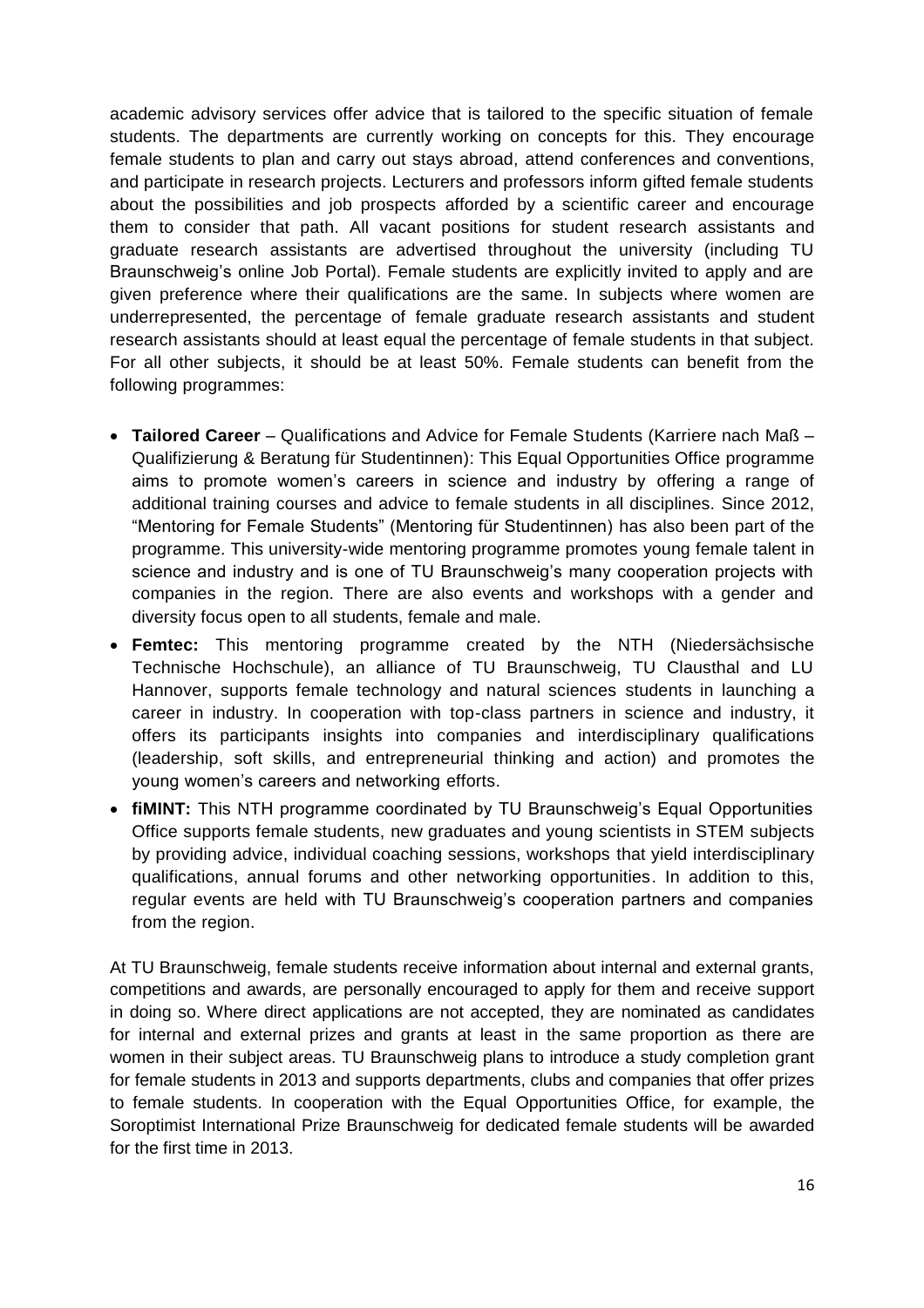academic advisory services offer advice that is tailored to the specific situation of female students. The departments are currently working on concepts for this. They encourage female students to plan and carry out stays abroad, attend conferences and conventions, and participate in research projects. Lecturers and professors inform gifted female students about the possibilities and job prospects afforded by a scientific career and encourage them to consider that path. All vacant positions for student research assistants and graduate research assistants are advertised throughout the university (including TU Braunschweig's online Job Portal). Female students are explicitly invited to apply and are given preference where their qualifications are the same. In subjects where women are underrepresented, the percentage of female graduate research assistants and student research assistants should at least equal the percentage of female students in that subject. For all other subjects, it should be at least 50%. Female students can benefit from the following programmes:

- **Tailored Career** Qualifications and Advice for Female Students (Karriere nach Maß Qualifizierung & Beratung für Studentinnen): This Equal Opportunities Office programme aims to promote women's careers in science and industry by offering a range of additional training courses and advice to female students in all disciplines. Since 2012, "Mentoring for Female Students" (Mentoring für Studentinnen) has also been part of the programme. This university-wide mentoring programme promotes young female talent in science and industry and is one of TU Braunschweig's many cooperation projects with companies in the region. There are also events and workshops with a gender and diversity focus open to all students, female and male.
- **Femtec:** This mentoring programme created by the NTH (Niedersächsische Technische Hochschule), an alliance of TU Braunschweig, TU Clausthal and LU Hannover, supports female technology and natural sciences students in launching a career in industry. In cooperation with top-class partners in science and industry, it offers its participants insights into companies and interdisciplinary qualifications (leadership, soft skills, and entrepreneurial thinking and action) and promotes the young women's careers and networking efforts.
- **fiMINT:** This NTH programme coordinated by TU Braunschweig's Equal Opportunities Office supports female students, new graduates and young scientists in STEM subjects by providing advice, individual coaching sessions, workshops that yield interdisciplinary qualifications, annual forums and other networking opportunities. In addition to this, regular events are held with TU Braunschweig's cooperation partners and companies from the region.

At TU Braunschweig, female students receive information about internal and external grants, competitions and awards, are personally encouraged to apply for them and receive support in doing so. Where direct applications are not accepted, they are nominated as candidates for internal and external prizes and grants at least in the same proportion as there are women in their subject areas. TU Braunschweig plans to introduce a study completion grant for female students in 2013 and supports departments, clubs and companies that offer prizes to female students. In cooperation with the Equal Opportunities Office, for example, the Soroptimist International Prize Braunschweig for dedicated female students will be awarded for the first time in 2013.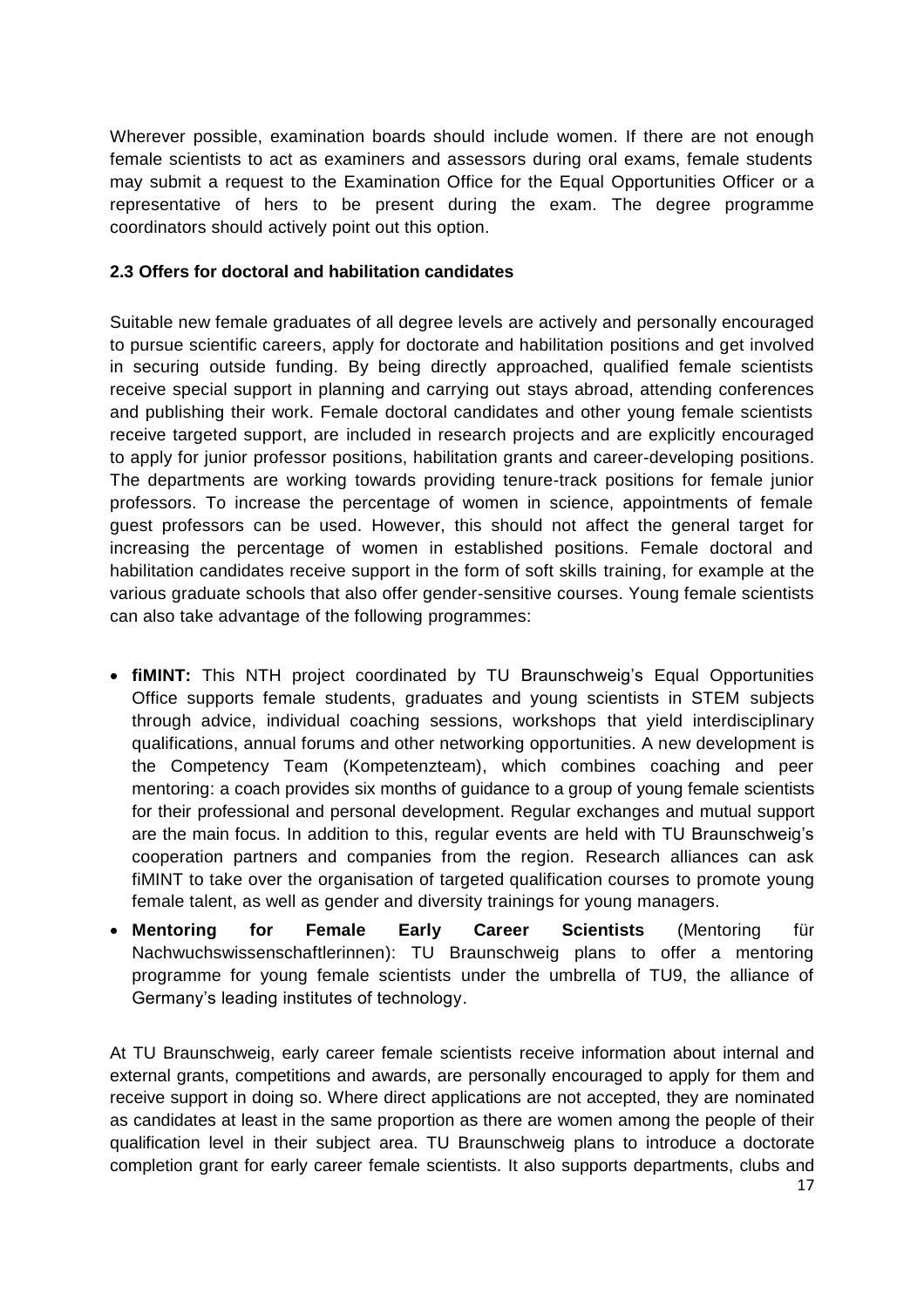Wherever possible, examination boards should include women. If there are not enough female scientists to act as examiners and assessors during oral exams, female students may submit a request to the Examination Office for the Equal Opportunities Officer or a representative of hers to be present during the exam. The degree programme coordinators should actively point out this option.

#### <span id="page-16-0"></span>**2.3 Offers for doctoral and habilitation candidates**

Suitable new female graduates of all degree levels are actively and personally encouraged to pursue scientific careers, apply for doctorate and habilitation positions and get involved in securing outside funding. By being directly approached, qualified female scientists receive special support in planning and carrying out stays abroad, attending conferences and publishing their work. Female doctoral candidates and other young female scientists receive targeted support, are included in research projects and are explicitly encouraged to apply for junior professor positions, habilitation grants and career-developing positions. The departments are working towards providing tenure-track positions for female junior professors. To increase the percentage of women in science, appointments of female guest professors can be used. However, this should not affect the general target for increasing the percentage of women in established positions. Female doctoral and habilitation candidates receive support in the form of soft skills training, for example at the various graduate schools that also offer gender-sensitive courses. Young female scientists can also take advantage of the following programmes:

- **fiMINT:** This NTH project coordinated by TU Braunschweig's Equal Opportunities Office supports female students, graduates and young scientists in STEM subjects through advice, individual coaching sessions, workshops that yield interdisciplinary qualifications, annual forums and other networking opportunities. A new development is the Competency Team (Kompetenzteam), which combines coaching and peer mentoring: a coach provides six months of guidance to a group of young female scientists for their professional and personal development. Regular exchanges and mutual support are the main focus. In addition to this, regular events are held with TU Braunschweig's cooperation partners and companies from the region. Research alliances can ask fiMINT to take over the organisation of targeted qualification courses to promote young female talent, as well as gender and diversity trainings for young managers.
- **Mentoring for Female Early Career Scientists** (Mentoring für Nachwuchswissenschaftlerinnen): TU Braunschweig plans to offer a mentoring programme for young female scientists under the umbrella of TU9, the alliance of Germany's leading institutes of technology.

At TU Braunschweig, early career female scientists receive information about internal and external grants, competitions and awards, are personally encouraged to apply for them and receive support in doing so. Where direct applications are not accepted, they are nominated as candidates at least in the same proportion as there are women among the people of their qualification level in their subject area. TU Braunschweig plans to introduce a doctorate completion grant for early career female scientists. It also supports departments, clubs and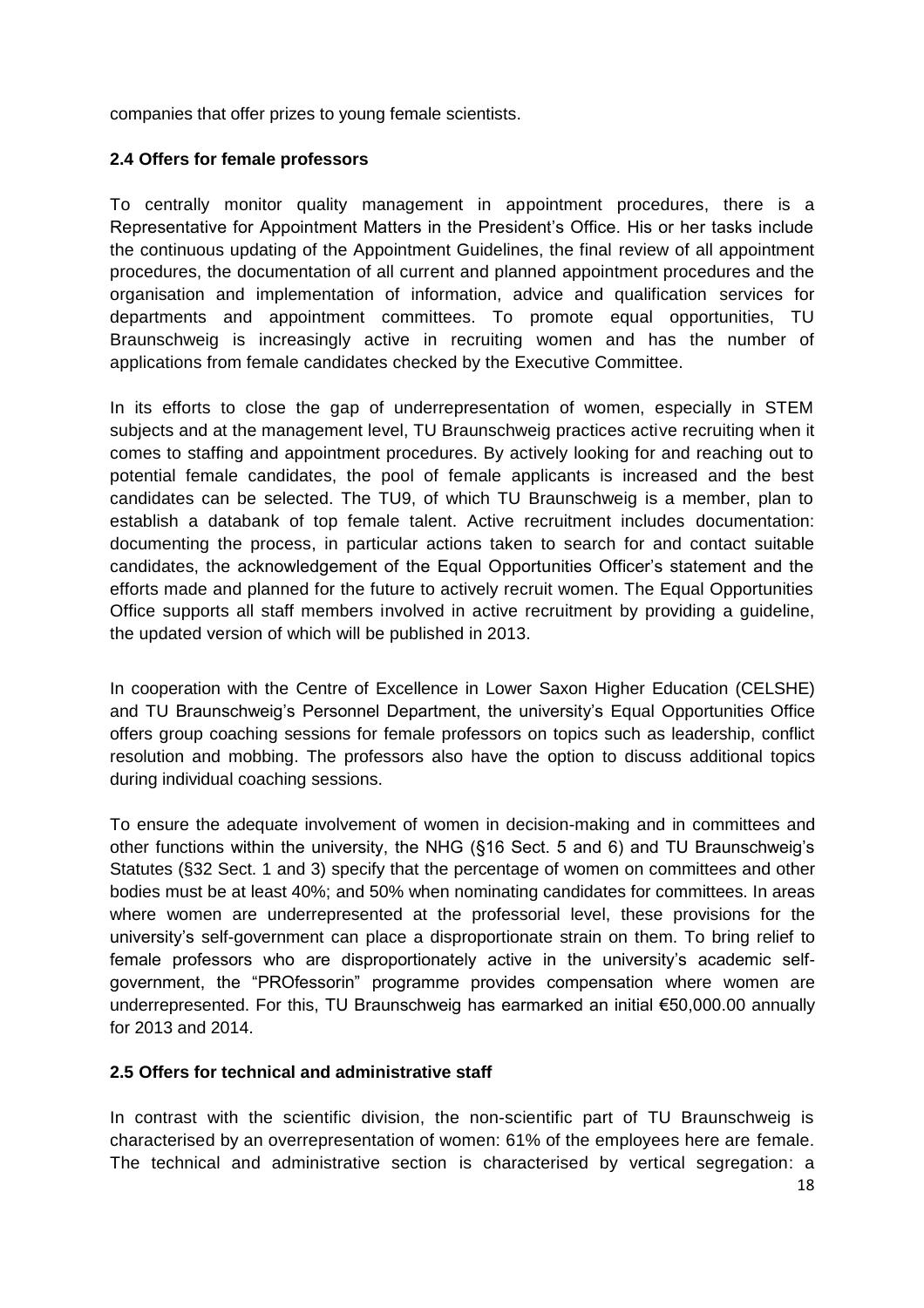companies that offer prizes to young female scientists.

#### <span id="page-17-0"></span>**2.4 Offers for female professors**

To centrally monitor quality management in appointment procedures, there is a Representative for Appointment Matters in the President's Office. His or her tasks include the continuous updating of the Appointment Guidelines, the final review of all appointment procedures, the documentation of all current and planned appointment procedures and the organisation and implementation of information, advice and qualification services for departments and appointment committees. To promote equal opportunities, TU Braunschweig is increasingly active in recruiting women and has the number of applications from female candidates checked by the Executive Committee.

In its efforts to close the gap of underrepresentation of women, especially in STEM subjects and at the management level, TU Braunschweig practices active recruiting when it comes to staffing and appointment procedures. By actively looking for and reaching out to potential female candidates, the pool of female applicants is increased and the best candidates can be selected. The TU9, of which TU Braunschweig is a member, plan to establish a databank of top female talent. Active recruitment includes documentation: documenting the process, in particular actions taken to search for and contact suitable candidates, the acknowledgement of the Equal Opportunities Officer's statement and the efforts made and planned for the future to actively recruit women. The Equal Opportunities Office supports all staff members involved in active recruitment by providing a guideline, the updated version of which will be published in 2013.

In cooperation with the Centre of Excellence in Lower Saxon Higher Education (CELSHE) and TU Braunschweig's Personnel Department, the university's Equal Opportunities Office offers group coaching sessions for female professors on topics such as leadership, conflict resolution and mobbing. The professors also have the option to discuss additional topics during individual coaching sessions.

To ensure the adequate involvement of women in decision-making and in committees and other functions within the university, the NHG (§16 Sect. 5 and 6) and TU Braunschweig's Statutes (§32 Sect. 1 and 3) specify that the percentage of women on committees and other bodies must be at least 40%; and 50% when nominating candidates for committees. In areas where women are underrepresented at the professorial level, these provisions for the university's self-government can place a disproportionate strain on them. To bring relief to female professors who are disproportionately active in the university's academic selfgovernment, the "PROfessorin" programme provides compensation where women are underrepresented. For this, TU Braunschweig has earmarked an initial €50,000.00 annually for 2013 and 2014.

#### <span id="page-17-1"></span>**2.5 Offers for technical and administrative staff**

In contrast with the scientific division, the non-scientific part of TU Braunschweig is characterised by an overrepresentation of women: 61% of the employees here are female. The technical and administrative section is characterised by vertical segregation: a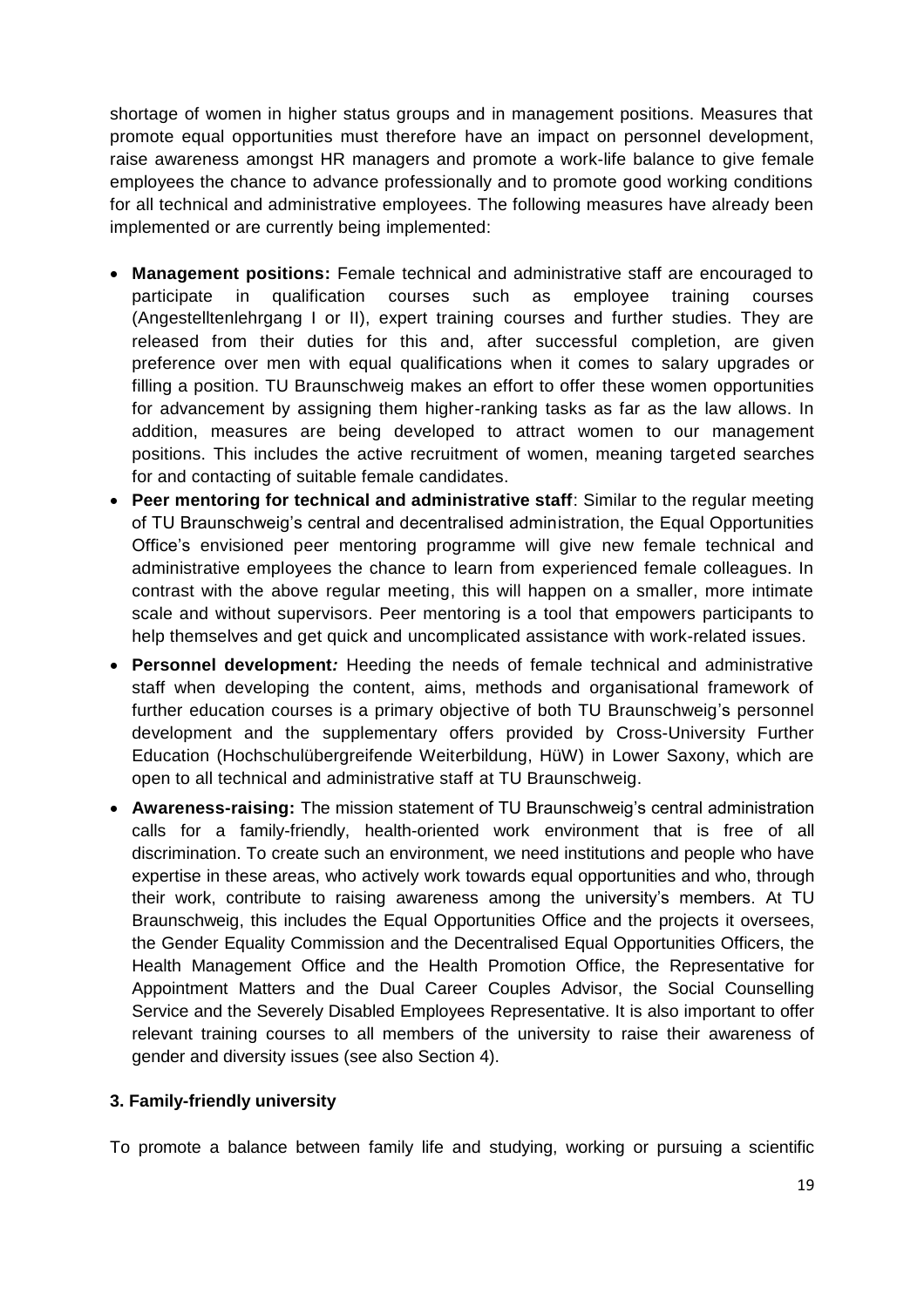shortage of women in higher status groups and in management positions. Measures that promote equal opportunities must therefore have an impact on personnel development, raise awareness amongst HR managers and promote a work-life balance to give female employees the chance to advance professionally and to promote good working conditions for all technical and administrative employees. The following measures have already been implemented or are currently being implemented:

- **Management positions:** Female technical and administrative staff are encouraged to participate in qualification courses such as employee training courses (Angestelltenlehrgang I or II), expert training courses and further studies. They are released from their duties for this and, after successful completion, are given preference over men with equal qualifications when it comes to salary upgrades or filling a position. TU Braunschweig makes an effort to offer these women opportunities for advancement by assigning them higher-ranking tasks as far as the law allows. In addition, measures are being developed to attract women to our management positions. This includes the active recruitment of women, meaning targeted searches for and contacting of suitable female candidates.
- **Peer mentoring for technical and administrative staff**: Similar to the regular meeting of TU Braunschweig's central and decentralised administration, the Equal Opportunities Office's envisioned peer mentoring programme will give new female technical and administrative employees the chance to learn from experienced female colleagues. In contrast with the above regular meeting, this will happen on a smaller, more intimate scale and without supervisors. Peer mentoring is a tool that empowers participants to help themselves and get quick and uncomplicated assistance with work-related issues.
- **Personnel development***:* Heeding the needs of female technical and administrative staff when developing the content, aims, methods and organisational framework of further education courses is a primary objective of both TU Braunschweig's personnel development and the supplementary offers provided by Cross-University Further Education (Hochschulübergreifende Weiterbildung, HüW) in Lower Saxony, which are open to all technical and administrative staff at TU Braunschweig.
- **Awareness-raising:** The mission statement of TU Braunschweig's central administration calls for a family-friendly, health-oriented work environment that is free of all discrimination. To create such an environment, we need institutions and people who have expertise in these areas, who actively work towards equal opportunities and who, through their work, contribute to raising awareness among the university's members. At TU Braunschweig, this includes the Equal Opportunities Office and the projects it oversees, the Gender Equality Commission and the Decentralised Equal Opportunities Officers, the Health Management Office and the Health Promotion Office, the Representative for Appointment Matters and the Dual Career Couples Advisor, the Social Counselling Service and the Severely Disabled Employees Representative. It is also important to offer relevant training courses to all members of the university to raise their awareness of gender and diversity issues (see also Section 4).

#### <span id="page-18-0"></span>**3. Family-friendly university**

To promote a balance between family life and studying, working or pursuing a scientific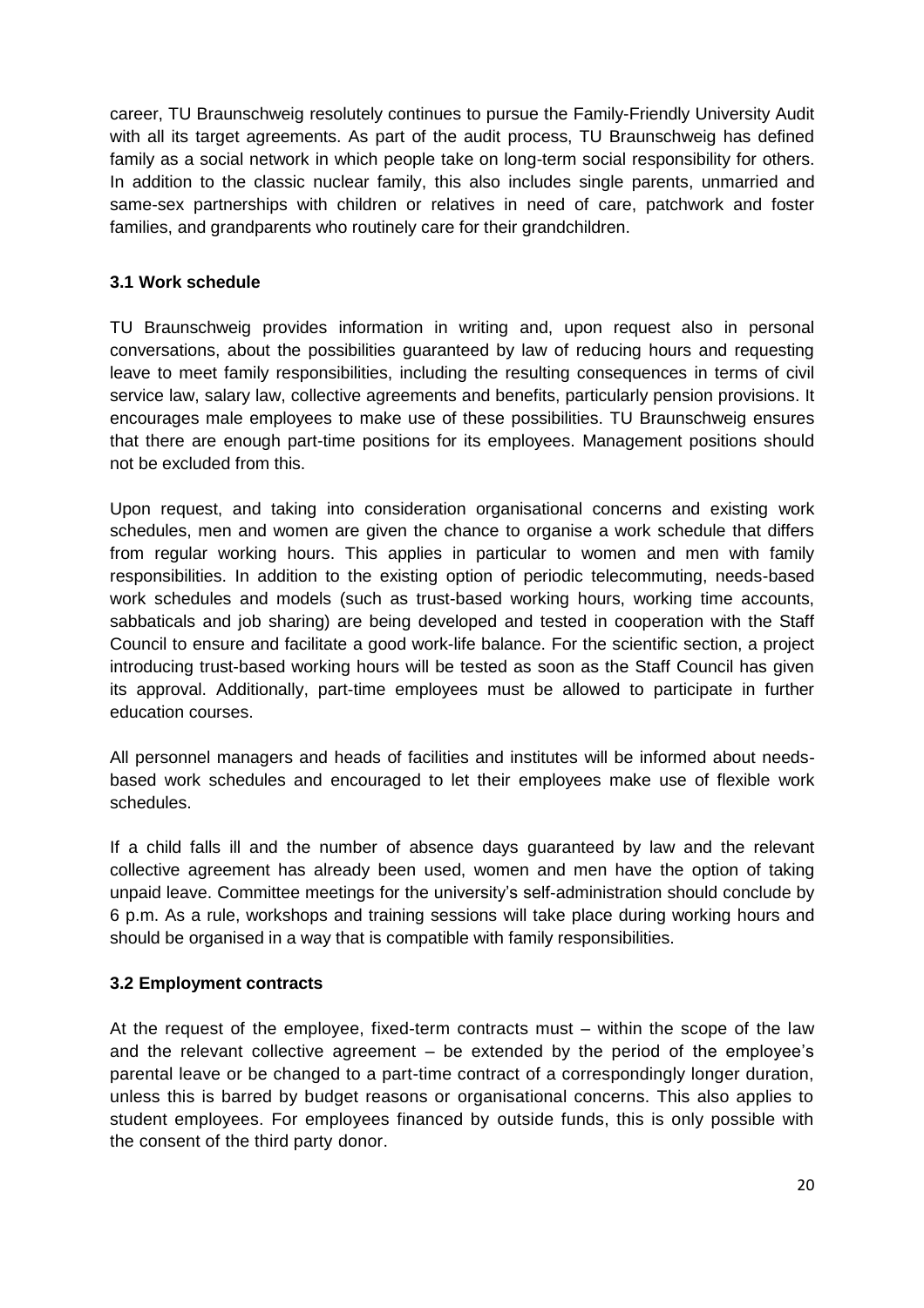career, TU Braunschweig resolutely continues to pursue the Family-Friendly University Audit with all its target agreements. As part of the audit process, TU Braunschweig has defined family as a social network in which people take on long-term social responsibility for others. In addition to the classic nuclear family, this also includes single parents, unmarried and same-sex partnerships with children or relatives in need of care, patchwork and foster families, and grandparents who routinely care for their grandchildren.

#### <span id="page-19-0"></span>**3.1 Work schedule**

TU Braunschweig provides information in writing and, upon request also in personal conversations, about the possibilities guaranteed by law of reducing hours and requesting leave to meet family responsibilities, including the resulting consequences in terms of civil service law, salary law, collective agreements and benefits, particularly pension provisions. It encourages male employees to make use of these possibilities. TU Braunschweig ensures that there are enough part-time positions for its employees. Management positions should not be excluded from this.

Upon request, and taking into consideration organisational concerns and existing work schedules, men and women are given the chance to organise a work schedule that differs from regular working hours. This applies in particular to women and men with family responsibilities. In addition to the existing option of periodic telecommuting, needs-based work schedules and models (such as trust-based working hours, working time accounts, sabbaticals and job sharing) are being developed and tested in cooperation with the Staff Council to ensure and facilitate a good work-life balance. For the scientific section, a project introducing trust-based working hours will be tested as soon as the Staff Council has given its approval. Additionally, part-time employees must be allowed to participate in further education courses.

All personnel managers and heads of facilities and institutes will be informed about needsbased work schedules and encouraged to let their employees make use of flexible work schedules.

If a child falls ill and the number of absence days guaranteed by law and the relevant collective agreement has already been used, women and men have the option of taking unpaid leave. Committee meetings for the university's self-administration should conclude by 6 p.m. As a rule, workshops and training sessions will take place during working hours and should be organised in a way that is compatible with family responsibilities.

#### <span id="page-19-1"></span>**3.2 Employment contracts**

At the request of the employee, fixed-term contracts must – within the scope of the law and the relevant collective agreement – be extended by the period of the employee's parental leave or be changed to a part-time contract of a correspondingly longer duration, unless this is barred by budget reasons or organisational concerns. This also applies to student employees. For employees financed by outside funds, this is only possible with the consent of the third party donor.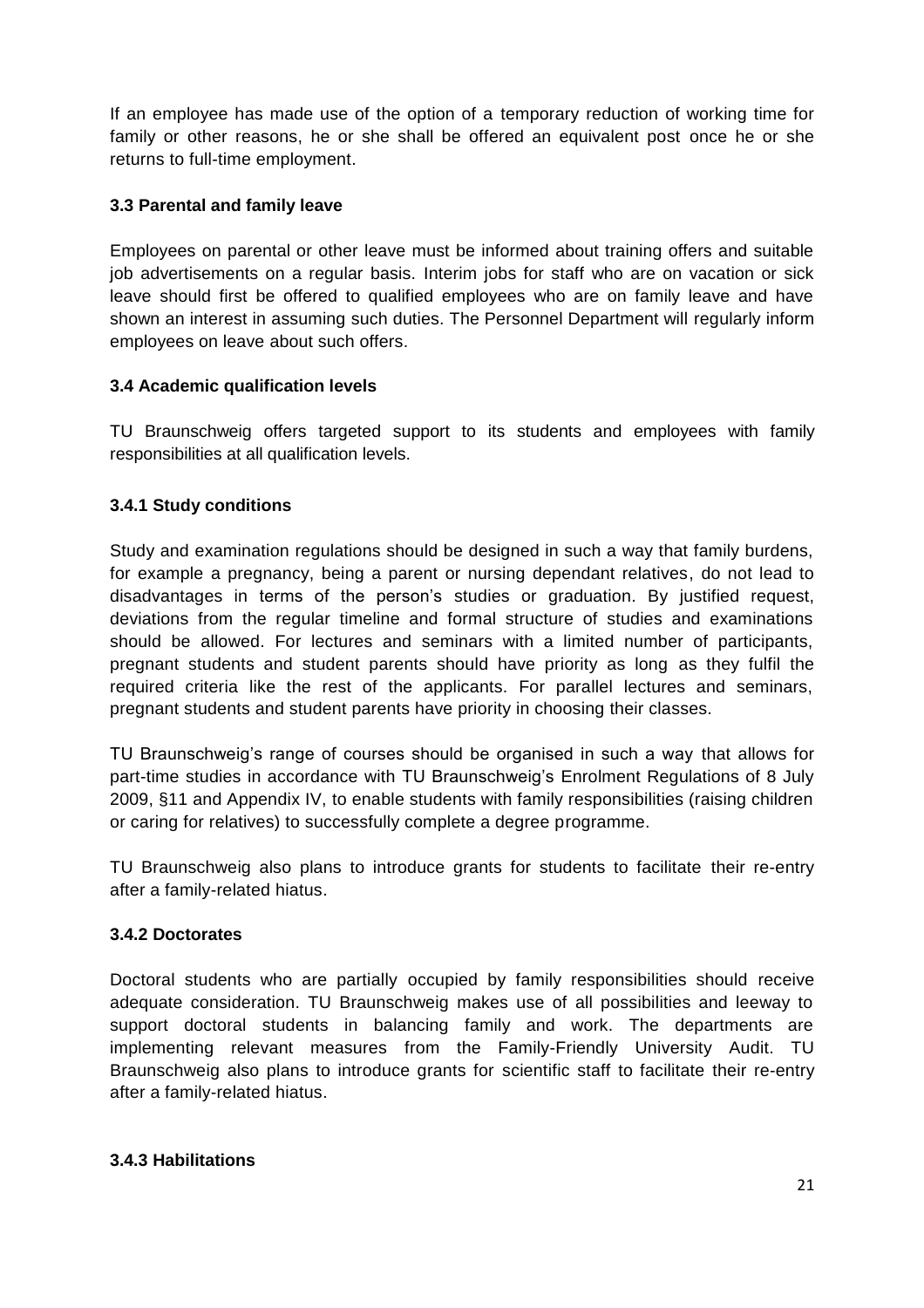If an employee has made use of the option of a temporary reduction of working time for family or other reasons, he or she shall be offered an equivalent post once he or she returns to full-time employment.

#### <span id="page-20-0"></span>**3.3 Parental and family leave**

Employees on parental or other leave must be informed about training offers and suitable job advertisements on a regular basis. Interim jobs for staff who are on vacation or sick leave should first be offered to qualified employees who are on family leave and have shown an interest in assuming such duties. The Personnel Department will regularly inform employees on leave about such offers.

#### <span id="page-20-1"></span>**3.4 Academic qualification levels**

TU Braunschweig offers targeted support to its students and employees with family responsibilities at all qualification levels.

#### <span id="page-20-2"></span>**3.4.1 Study conditions**

Study and examination regulations should be designed in such a way that family burdens, for example a pregnancy, being a parent or nursing dependant relatives, do not lead to disadvantages in terms of the person's studies or graduation. By justified request, deviations from the regular timeline and formal structure of studies and examinations should be allowed. For lectures and seminars with a limited number of participants, pregnant students and student parents should have priority as long as they fulfil the required criteria like the rest of the applicants. For parallel lectures and seminars, pregnant students and student parents have priority in choosing their classes.

TU Braunschweig's range of courses should be organised in such a way that allows for part-time studies in accordance with TU Braunschweig's Enrolment Regulations of 8 July 2009, §11 and Appendix IV, to enable students with family responsibilities (raising children or caring for relatives) to successfully complete a degree programme.

TU Braunschweig also plans to introduce grants for students to facilitate their re-entry after a family-related hiatus.

#### <span id="page-20-3"></span>**3.4.2 Doctorates**

Doctoral students who are partially occupied by family responsibilities should receive adequate consideration. TU Braunschweig makes use of all possibilities and leeway to support doctoral students in balancing family and work. The departments are implementing relevant measures from the Family-Friendly University Audit. TU Braunschweig also plans to introduce grants for scientific staff to facilitate their re-entry after a family-related hiatus.

#### <span id="page-20-4"></span>**3.4.3 Habilitations**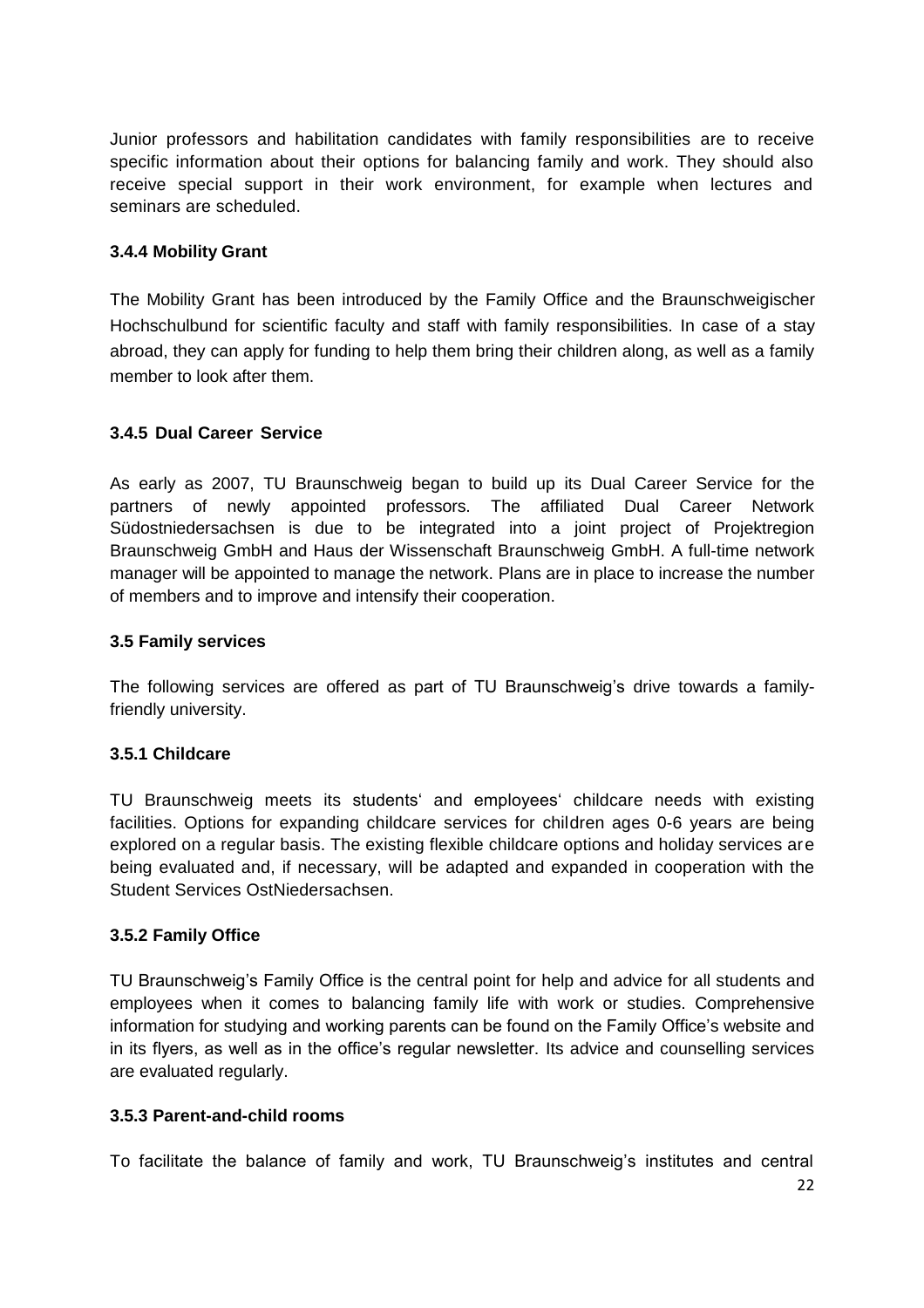Junior professors and habilitation candidates with family responsibilities are to receive specific information about their options for balancing family and work. They should also receive special support in their work environment, for example when lectures and seminars are scheduled.

#### <span id="page-21-0"></span>**3.4.4 Mobility Grant**

The Mobility Grant has been introduced by the Family Office and the Braunschweigischer Hochschulbund for scientific faculty and staff with family responsibilities. In case of a stay abroad, they can apply for funding to help them bring their children along, as well as a family member to look after them.

#### <span id="page-21-1"></span>**3.4.5 Dual Career Service**

As early as 2007, TU Braunschweig began to build up its Dual Career Service for the partners of newly appointed professors. The affiliated Dual Career Network Südostniedersachsen is due to be integrated into a joint project of Projektregion Braunschweig GmbH and Haus der Wissenschaft Braunschweig GmbH. A full-time network manager will be appointed to manage the network. Plans are in place to increase the number of members and to improve and intensify their cooperation.

#### <span id="page-21-2"></span>**3.5 Family services**

The following services are offered as part of TU Braunschweig's drive towards a familyfriendly university.

#### <span id="page-21-3"></span>**3.5.1 Childcare**

TU Braunschweig meets its students' and employees' childcare needs with existing facilities. Options for expanding childcare services for children ages 0-6 years are being explored on a regular basis. The existing flexible childcare options and holiday services are being evaluated and, if necessary, will be adapted and expanded in cooperation with the Student Services OstNiedersachsen.

#### <span id="page-21-4"></span>**3.5.2 Family Office**

TU Braunschweig's Family Office is the central point for help and advice for all students and employees when it comes to balancing family life with work or studies. Comprehensive information for studying and working parents can be found on the Family Office's website and in its flyers, as well as in the office's regular newsletter. Its advice and counselling services are evaluated regularly.

#### <span id="page-21-5"></span>**3.5.3 Parent-and-child rooms**

To facilitate the balance of family and work, TU Braunschweig's institutes and central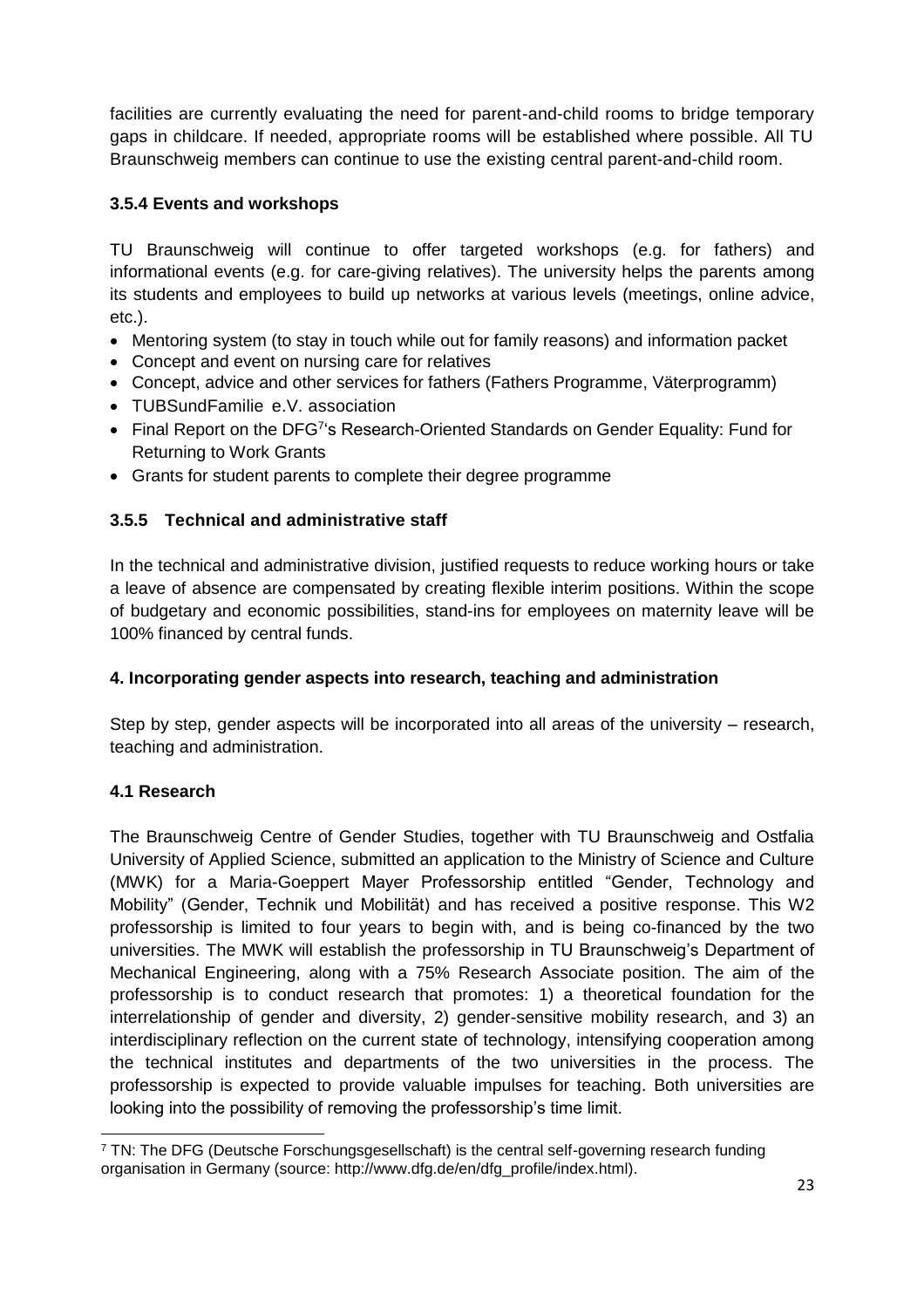facilities are currently evaluating the need for parent-and-child rooms to bridge temporary gaps in childcare. If needed, appropriate rooms will be established where possible. All TU Braunschweig members can continue to use the existing central parent-and-child room.

#### <span id="page-22-0"></span>**3.5.4 Events and workshops**

TU Braunschweig will continue to offer targeted workshops (e.g. for fathers) and informational events (e.g. for care-giving relatives). The university helps the parents among its students and employees to build up networks at various levels (meetings, online advice, etc.).

- Mentoring system (to stay in touch while out for family reasons) and information packet
- Concept and event on nursing care for relatives
- Concept, advice and other services for fathers (Fathers Programme, Väterprogramm)
- TUBSundFamilie e.V. association
- Final Report on the DFG<sup>7'</sup>s Research-Oriented Standards on Gender Equality: Fund for Returning to Work Grants
- Grants for student parents to complete their degree programme

#### <span id="page-22-1"></span>**3.5.5 Technical and administrative staff**

In the technical and administrative division, justified requests to reduce working hours or take a leave of absence are compensated by creating flexible interim positions. Within the scope of budgetary and economic possibilities, stand-ins for employees on maternity leave will be 100% financed by central funds.

#### <span id="page-22-2"></span>**4. Incorporating gender aspects into research, teaching and administration**

Step by step, gender aspects will be incorporated into all areas of the university – research, teaching and administration.

#### <span id="page-22-3"></span>**4.1 Research**

 $\overline{a}$ 

The Braunschweig Centre of Gender Studies, together with TU Braunschweig and Ostfalia University of Applied Science, submitted an application to the Ministry of Science and Culture (MWK) for a Maria-Goeppert Mayer Professorship entitled "Gender, Technology and Mobility" (Gender, Technik und Mobilität) and has received a positive response. This W2 professorship is limited to four years to begin with, and is being co-financed by the two universities. The MWK will establish the professorship in TU Braunschweig's Department of Mechanical Engineering, along with a 75% Research Associate position. The aim of the professorship is to conduct research that promotes: 1) a theoretical foundation for the interrelationship of gender and diversity, 2) gender-sensitive mobility research, and 3) an interdisciplinary reflection on the current state of technology, intensifying cooperation among the technical institutes and departments of the two universities in the process. The professorship is expected to provide valuable impulses for teaching. Both universities are looking into the possibility of removing the professorship's time limit.

 $7$  TN: The DFG (Deutsche Forschungsgesellschaft) is the central self-governing research funding organisation in Germany (source: http://www.dfg.de/en/dfg\_profile/index.html).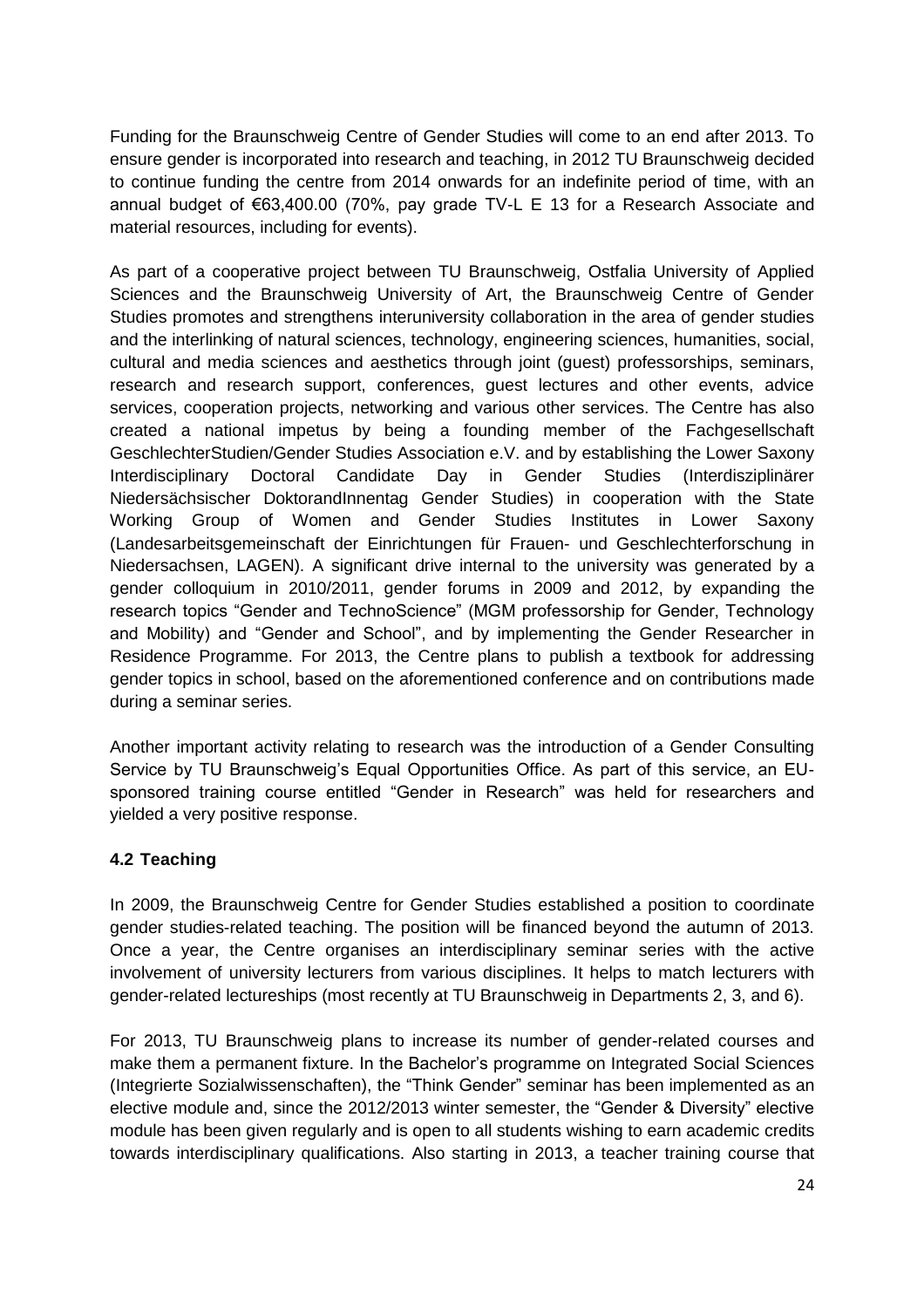Funding for the Braunschweig Centre of Gender Studies will come to an end after 2013. To ensure gender is incorporated into research and teaching, in 2012 TU Braunschweig decided to continue funding the centre from 2014 onwards for an indefinite period of time, with an annual budget of €63,400.00 (70%, pay grade TV-L E 13 for a Research Associate and material resources, including for events).

As part of a cooperative project between TU Braunschweig, Ostfalia University of Applied Sciences and the Braunschweig University of Art, the Braunschweig Centre of Gender Studies promotes and strengthens interuniversity collaboration in the area of gender studies and the interlinking of natural sciences, technology, engineering sciences, humanities, social, cultural and media sciences and aesthetics through joint (guest) professorships, seminars, research and research support, conferences, guest lectures and other events, advice services, cooperation projects, networking and various other services. The Centre has also created a national impetus by being a founding member of the Fachgesellschaft GeschlechterStudien/Gender Studies Association e.V. and by establishing the Lower Saxony Interdisciplinary Doctoral Candidate Day in Gender Studies (Interdisziplinärer Niedersächsischer DoktorandInnentag Gender Studies) in cooperation with the State Working Group of Women and Gender Studies Institutes in Lower Saxony (Landesarbeitsgemeinschaft der Einrichtungen für Frauen- und Geschlechterforschung in Niedersachsen, LAGEN). A significant drive internal to the university was generated by a gender colloquium in 2010/2011, gender forums in 2009 and 2012, by expanding the research topics "Gender and TechnoScience" (MGM professorship for Gender, Technology and Mobility) and "Gender and School", and by implementing the Gender Researcher in Residence Programme. For 2013, the Centre plans to publish a textbook for addressing gender topics in school, based on the aforementioned conference and on contributions made during a seminar series.

Another important activity relating to research was the introduction of a Gender Consulting Service by TU Braunschweig's Equal Opportunities Office. As part of this service, an EUsponsored training course entitled "Gender in Research" was held for researchers and yielded a very positive response.

#### <span id="page-23-0"></span>**4.2 Teaching**

In 2009, the Braunschweig Centre for Gender Studies established a position to coordinate gender studies-related teaching. The position will be financed beyond the autumn of 2013. Once a year, the Centre organises an interdisciplinary seminar series with the active involvement of university lecturers from various disciplines. It helps to match lecturers with gender-related lectureships (most recently at TU Braunschweig in Departments 2, 3, and 6).

For 2013, TU Braunschweig plans to increase its number of gender-related courses and make them a permanent fixture. In the Bachelor's programme on Integrated Social Sciences (Integrierte Sozialwissenschaften), the "Think Gender" seminar has been implemented as an elective module and, since the 2012/2013 winter semester, the "Gender & Diversity" elective module has been given regularly and is open to all students wishing to earn academic credits towards interdisciplinary qualifications. Also starting in 2013, a teacher training course that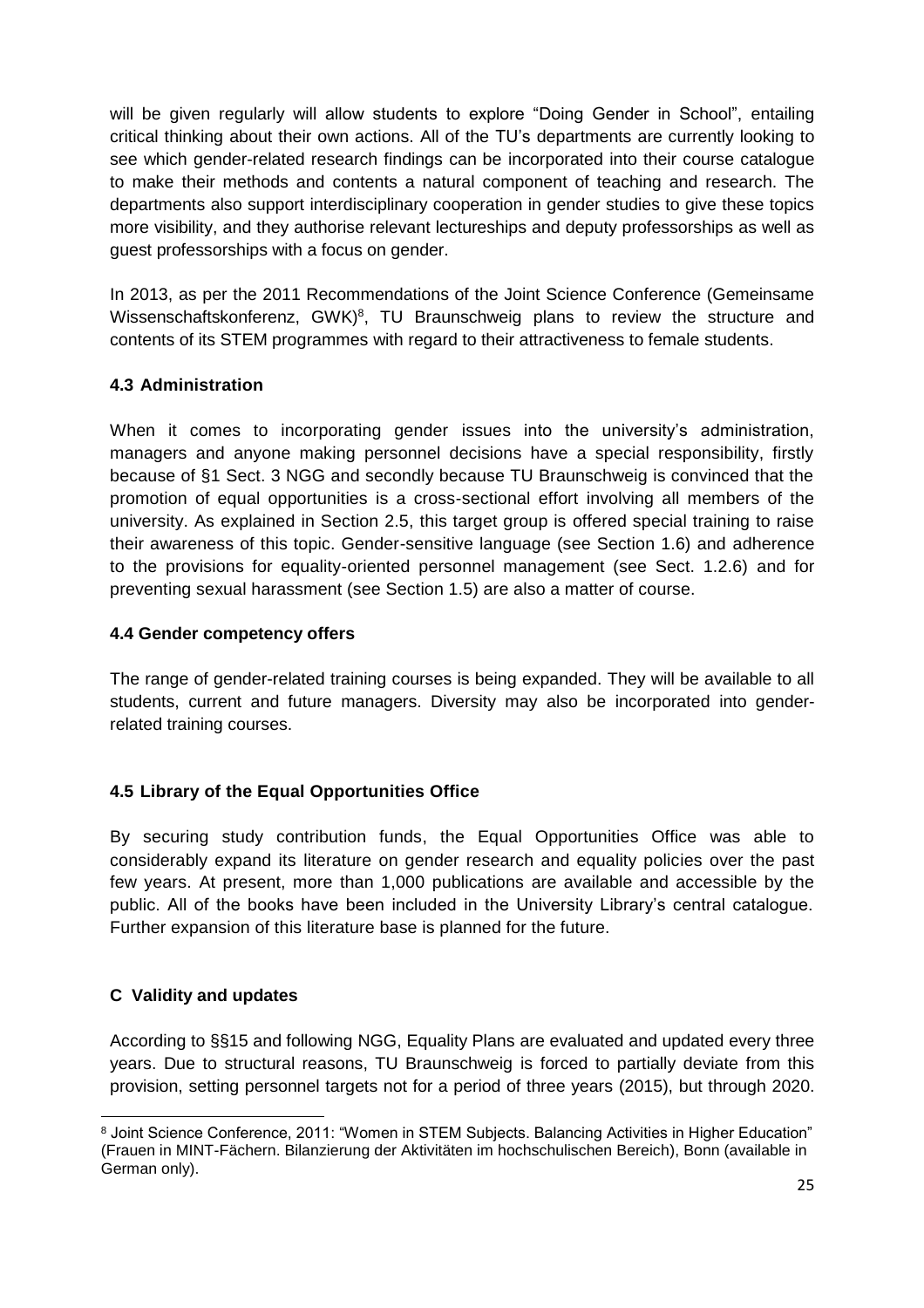will be given regularly will allow students to explore "Doing Gender in School", entailing critical thinking about their own actions. All of the TU's departments are currently looking to see which gender-related research findings can be incorporated into their course catalogue to make their methods and contents a natural component of teaching and research. The departments also support interdisciplinary cooperation in gender studies to give these topics more visibility, and they authorise relevant lectureships and deputy professorships as well as guest professorships with a focus on gender.

In 2013, as per the 2011 Recommendations of the Joint Science Conference (Gemeinsame Wissenschaftskonferenz, GWK)<sup>8</sup>, TU Braunschweig plans to review the structure and contents of its STEM programmes with regard to their attractiveness to female students.

#### <span id="page-24-0"></span>**4.3 Administration**

When it comes to incorporating gender issues into the university's administration, managers and anyone making personnel decisions have a special responsibility, firstly because of §1 Sect. 3 NGG and secondly because TU Braunschweig is convinced that the promotion of equal opportunities is a cross-sectional effort involving all members of the university. As explained in Section 2.5, this target group is offered special training to raise their awareness of this topic. Gender-sensitive language (see Section 1.6) and adherence to the provisions for equality-oriented personnel management (see Sect. 1.2.6) and for preventing sexual harassment (see Section 1.5) are also a matter of course.

#### <span id="page-24-1"></span>**4.4 Gender competency offers**

The range of gender-related training courses is being expanded. They will be available to all students, current and future managers. Diversity may also be incorporated into genderrelated training courses.

#### <span id="page-24-2"></span>**4.5 Library of the Equal Opportunities Office**

By securing study contribution funds, the Equal Opportunities Office was able to considerably expand its literature on gender research and equality policies over the past few years. At present, more than 1,000 publications are available and accessible by the public. All of the books have been included in the University Library's central catalogue. Further expansion of this literature base is planned for the future.

#### <span id="page-24-3"></span>**C Validity and updates**

According to §§15 and following NGG, Equality Plans are evaluated and updated every three years. Due to structural reasons, TU Braunschweig is forced to partially deviate from this provision, setting personnel targets not for a period of three years (2015), but through 2020.

 <sup>8</sup> Joint Science Conference, 2011: "Women in STEM Subjects. Balancing Activities in Higher Education" (Frauen in MINT-Fächern. Bilanzierung der Aktivitäten im hochschulischen Bereich), Bonn (available in German only).